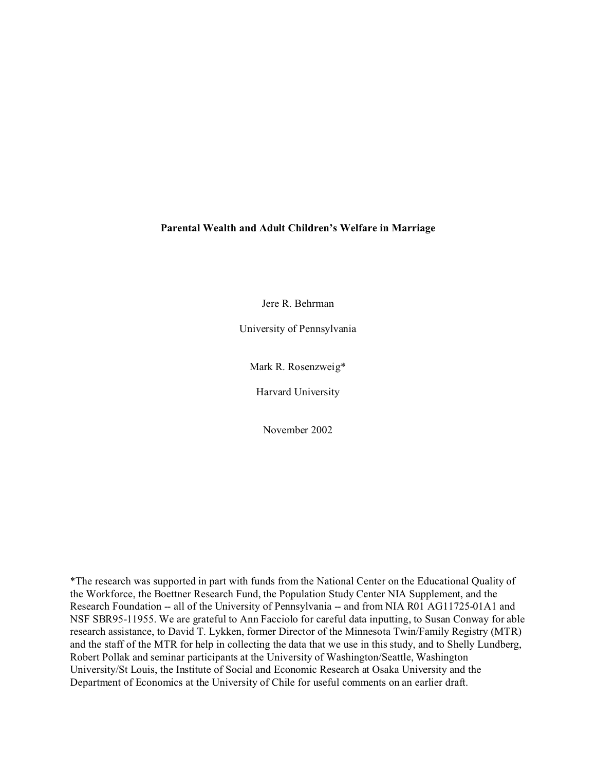# **Parental Wealth and Adult Children's Welfare in Marriage**

Jere R. Behrman

University of Pennsylvania

Mark R. Rosenzweig\*

Harvard University

November 2002

\*The research was supported in part with funds from the National Center on the Educational Quality of the Workforce, the Boettner Research Fund, the Population Study Center NIA Supplement, and the Research Foundation -- all of the University of Pennsylvania -- and from NIA R01 AG11725-01A1 and NSF SBR95-11955. We are grateful to Ann Facciolo for careful data inputting, to Susan Conway for able research assistance, to David T. Lykken, former Director of the Minnesota Twin/Family Registry (MTR) and the staff of the MTR for help in collecting the data that we use in this study, and to Shelly Lundberg, Robert Pollak and seminar participants at the University of Washington/Seattle, Washington University/St Louis, the Institute of Social and Economic Research at Osaka University and the Department of Economics at the University of Chile for useful comments on an earlier draft.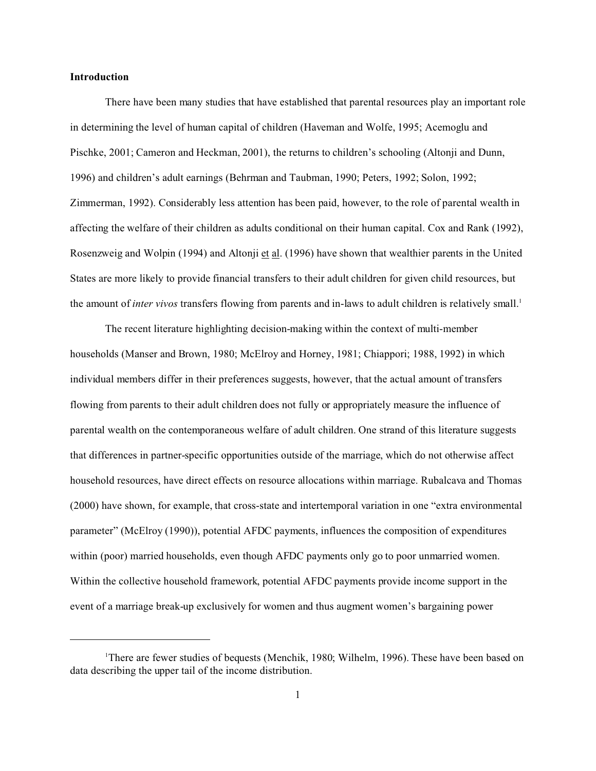## **Introduction**

There have been many studies that have established that parental resources play an important role in determining the level of human capital of children (Haveman and Wolfe, 1995; Acemoglu and Pischke, 2001; Cameron and Heckman, 2001), the returns to children's schooling (Altonji and Dunn, 1996) and children's adult earnings (Behrman and Taubman, 1990; Peters, 1992; Solon, 1992; Zimmerman, 1992). Considerably less attention has been paid, however, to the role of parental wealth in affecting the welfare of their children as adults conditional on their human capital. Cox and Rank (1992), Rosenzweig and Wolpin (1994) and Altonji et al. (1996) have shown that wealthier parents in the United States are more likely to provide financial transfers to their adult children for given child resources, but the amount of *inter vivos* transfers flowing from parents and in-laws to adult children is relatively small.<sup>1</sup>

The recent literature highlighting decision-making within the context of multi-member households (Manser and Brown, 1980; McElroy and Horney, 1981; Chiappori; 1988, 1992) in which individual members differ in their preferences suggests, however, that the actual amount of transfers flowing from parents to their adult children does not fully or appropriately measure the influence of parental wealth on the contemporaneous welfare of adult children. One strand of this literature suggests that differences in partner-specific opportunities outside of the marriage, which do not otherwise affect household resources, have direct effects on resource allocations within marriage. Rubalcava and Thomas (2000) have shown, for example, that cross-state and intertemporal variation in one "extra environmental parameter" (McElroy (1990)), potential AFDC payments, influences the composition of expenditures within (poor) married households, even though AFDC payments only go to poor unmarried women. Within the collective household framework, potential AFDC payments provide income support in the event of a marriage break-up exclusively for women and thus augment women's bargaining power

<sup>&</sup>lt;sup>1</sup>There are fewer studies of bequests (Menchik, 1980; Wilhelm, 1996). These have been based on data describing the upper tail of the income distribution.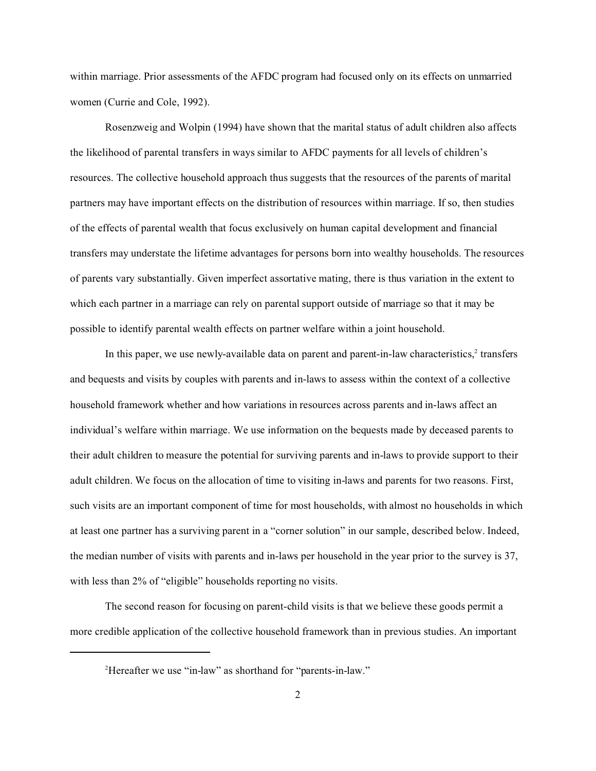within marriage. Prior assessments of the AFDC program had focused only on its effects on unmarried women (Currie and Cole, 1992).

Rosenzweig and Wolpin (1994) have shown that the marital status of adult children also affects the likelihood of parental transfers in ways similar to AFDC payments for all levels of children's resources. The collective household approach thus suggests that the resources of the parents of marital partners may have important effects on the distribution of resources within marriage. If so, then studies of the effects of parental wealth that focus exclusively on human capital development and financial transfers may understate the lifetime advantages for persons born into wealthy households. The resources of parents vary substantially. Given imperfect assortative mating, there is thus variation in the extent to which each partner in a marriage can rely on parental support outside of marriage so that it may be possible to identify parental wealth effects on partner welfare within a joint household.

In this paper, we use newly-available data on parent and parent-in-law characteristics,<sup>2</sup> transfers and bequests and visits by couples with parents and in-laws to assess within the context of a collective household framework whether and how variations in resources across parents and in-laws affect an individual's welfare within marriage. We use information on the bequests made by deceased parents to their adult children to measure the potential for surviving parents and in-laws to provide support to their adult children. We focus on the allocation of time to visiting in-laws and parents for two reasons. First, such visits are an important component of time for most households, with almost no households in which at least one partner has a surviving parent in a "corner solution" in our sample, described below. Indeed, the median number of visits with parents and in-laws per household in the year prior to the survey is 37, with less than 2% of "eligible" households reporting no visits.

The second reason for focusing on parent-child visits is that we believe these goods permit a more credible application of the collective household framework than in previous studies. An important

<sup>&</sup>lt;sup>2</sup>Hereafter we use "in-law" as shorthand for "parents-in-law."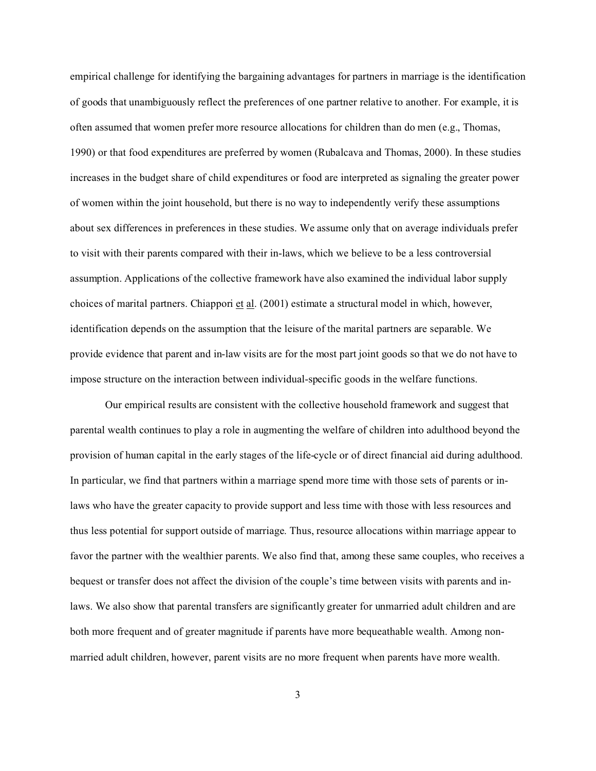empirical challenge for identifying the bargaining advantages for partners in marriage is the identification of goods that unambiguously reflect the preferences of one partner relative to another. For example, it is often assumed that women prefer more resource allocations for children than do men (e.g., Thomas, 1990) or that food expenditures are preferred by women (Rubalcava and Thomas, 2000). In these studies increases in the budget share of child expenditures or food are interpreted as signaling the greater power of women within the joint household, but there is no way to independently verify these assumptions about sex differences in preferences in these studies. We assume only that on average individuals prefer to visit with their parents compared with their in-laws, which we believe to be a less controversial assumption. Applications of the collective framework have also examined the individual labor supply choices of marital partners. Chiappori  $et al.$  (2001) estimate a structural model in which, however,</u> identification depends on the assumption that the leisure of the marital partners are separable. We provide evidence that parent and in-law visits are for the most part joint goods so that we do not have to impose structure on the interaction between individual-specific goods in the welfare functions.

Our empirical results are consistent with the collective household framework and suggest that parental wealth continues to play a role in augmenting the welfare of children into adulthood beyond the provision of human capital in the early stages of the life-cycle or of direct financial aid during adulthood. In particular, we find that partners within a marriage spend more time with those sets of parents or inlaws who have the greater capacity to provide support and less time with those with less resources and thus less potential for support outside of marriage. Thus, resource allocations within marriage appear to favor the partner with the wealthier parents. We also find that, among these same couples, who receives a bequest or transfer does not affect the division of the couple's time between visits with parents and inlaws. We also show that parental transfers are significantly greater for unmarried adult children and are both more frequent and of greater magnitude if parents have more bequeathable wealth. Among nonmarried adult children, however, parent visits are no more frequent when parents have more wealth.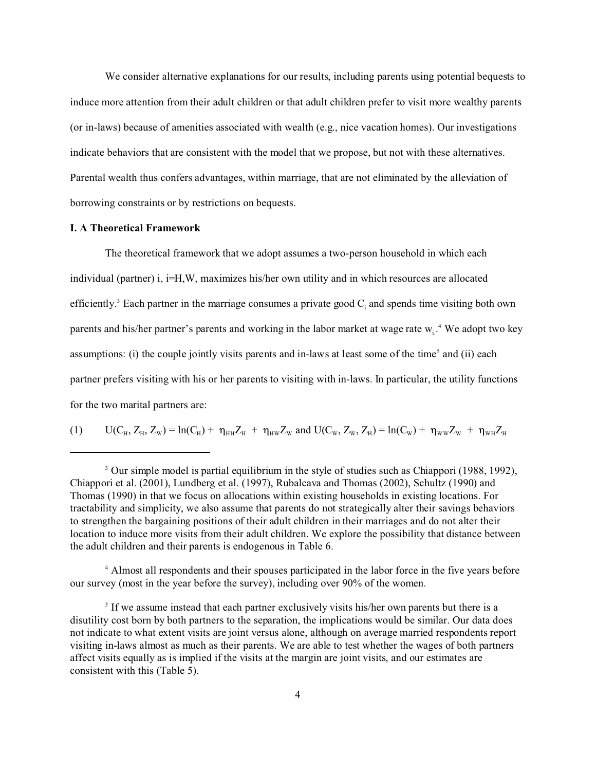We consider alternative explanations for our results, including parents using potential bequests to induce more attention from their adult children or that adult children prefer to visit more wealthy parents (or in-laws) because of amenities associated with wealth (e.g., nice vacation homes). Our investigations indicate behaviors that are consistent with the model that we propose, but not with these alternatives. Parental wealth thus confers advantages, within marriage, that are not eliminated by the alleviation of borrowing constraints or by restrictions on bequests.

# **I. A Theoretical Framework**

The theoretical framework that we adopt assumes a two-person household in which each individual (partner) i, i=H,W, maximizes his/her own utility and in which resources are allocated efficiently.<sup>3</sup> Each partner in the marriage consumes a private good  $C_i$  and spends time visiting both own parents and his/her partner's parents and working in the labor market at wage rate  $w_i$ .<sup>4</sup> We adopt two key assumptions: (i) the couple jointly visits parents and in-laws at least some of the time<sup>5</sup> and (ii) each partner prefers visiting with his or her parents to visiting with in-laws. In particular, the utility functions for the two marital partners are:

(1) 
$$
U(C_H, Z_H, Z_W) = ln(C_H) + \eta_{HH} Z_H + \eta_{HW} Z_W
$$
 and  $U(C_W, Z_W, Z_H) = ln(C_W) + \eta_{WW} Z_W + \eta_{WH} Z_H$ 

4 Almost all respondents and their spouses participated in the labor force in the five years before our survey (most in the year before the survey), including over 90% of the women.

<sup>&</sup>lt;sup>3</sup> Our simple model is partial equilibrium in the style of studies such as Chiappori (1988, 1992), Chiappori et al. (2001), Lundberg et al. (1997), Rubalcava and Thomas (2002), Schultz (1990) and Thomas (1990) in that we focus on allocations within existing households in existing locations. For tractability and simplicity, we also assume that parents do not strategically alter their savings behaviors to strengthen the bargaining positions of their adult children in their marriages and do not alter their location to induce more visits from their adult children. We explore the possibility that distance between the adult children and their parents is endogenous in Table 6.

<sup>&</sup>lt;sup>5</sup> If we assume instead that each partner exclusively visits his/her own parents but there is a disutility cost born by both partners to the separation, the implications would be similar. Our data does not indicate to what extent visits are joint versus alone, although on average married respondents report visiting in-laws almost as much as their parents. We are able to test whether the wages of both partners affect visits equally as is implied if the visits at the margin are joint visits, and our estimates are consistent with this (Table 5).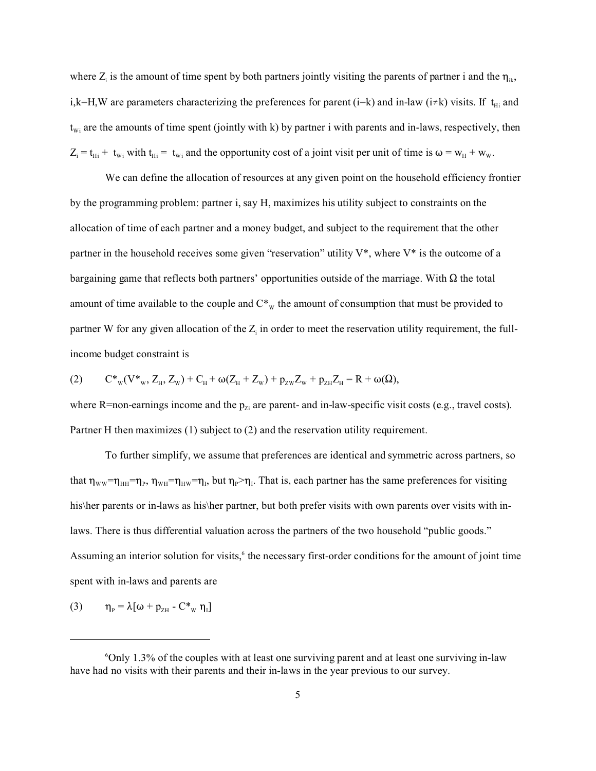where  $Z_i$  is the amount of time spent by both partners jointly visiting the parents of partner i and the  $\eta_{ik}$ , i,k=H,W are parameters characterizing the preferences for parent (i=k) and in-law (i $\neq$ k) visits. If t<sub>Hi</sub> and  $t_{wi}$  are the amounts of time spent (jointly with k) by partner i with parents and in-laws, respectively, then  $Z_i = t_{Hi} + t_{Wi}$  with  $t_{Hi} = t_{Wi}$  and the opportunity cost of a joint visit per unit of time is  $\omega = w_H + w_W$ .

We can define the allocation of resources at any given point on the household efficiency frontier by the programming problem: partner i, say H, maximizes his utility subject to constraints on the allocation of time of each partner and a money budget, and subject to the requirement that the other partner in the household receives some given "reservation" utility  $V^*$ , where  $V^*$  is the outcome of a bargaining game that reflects both partners' opportunities outside of the marriage. With  $\Omega$  the total amount of time available to the couple and  $C^*$ <sub>W</sub> the amount of consumption that must be provided to partner W for any given allocation of the  $Z_i$  in order to meet the reservation utility requirement, the fullincome budget constraint is

$$
(2) \qquad C^{*}{}_{w}(V^{*}{}_{w},Z_{H},Z_{w})+C_{H}+\omega(Z_{H}+Z_{w})+p_{zw}Z_{w}+p_{zH}Z_{H}=R+\omega(\Omega),
$$

where R=non-earnings income and the  $p_{Zi}$  are parent- and in-law-specific visit costs (e.g., travel costs). Partner H then maximizes (1) subject to (2) and the reservation utility requirement.

To further simplify, we assume that preferences are identical and symmetric across partners, so that  $\eta_{ww}=\eta_{HH}=\eta_P$ ,  $\eta_{WH}=\eta_{HW}=\eta_I$ , but  $\eta_P>\eta_I$ . That is, each partner has the same preferences for visiting his\her parents or in-laws as his\her partner, but both prefer visits with own parents over visits with inlaws. There is thus differential valuation across the partners of the two household "public goods." Assuming an interior solution for visits,<sup>6</sup> the necessary first-order conditions for the amount of joint time spent with in-laws and parents are

$$
(3) \qquad \eta_{P} = \lambda [\omega + p_{ZH} - C^*_{w} \eta_{I}]
$$

 $60$ nly 1.3% of the couples with at least one surviving parent and at least one surviving in-law have had no visits with their parents and their in-laws in the year previous to our survey.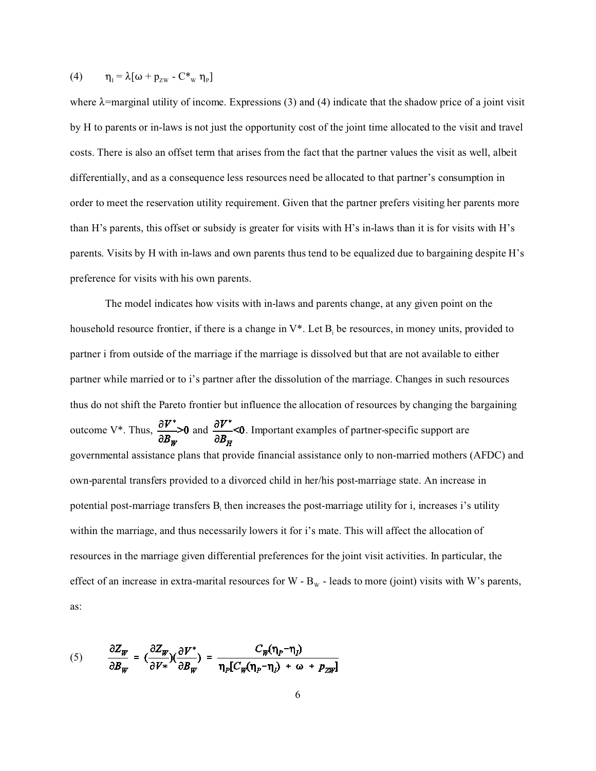(4) 
$$
\eta_{I} = \lambda [\omega + p_{zw} - C^*_{w} \eta_{P}]
$$

where  $\lambda$ =marginal utility of income. Expressions (3) and (4) indicate that the shadow price of a joint visit by H to parents or in-laws is not just the opportunity cost of the joint time allocated to the visit and travel costs. There is also an offset term that arises from the fact that the partner values the visit as well, albeit differentially, and as a consequence less resources need be allocated to that partner's consumption in order to meet the reservation utility requirement. Given that the partner prefers visiting her parents more than H's parents, this offset or subsidy is greater for visits with H's in-laws than it is for visits with H's parents. Visits by H with in-laws and own parents thus tend to be equalized due to bargaining despite H's preference for visits with his own parents.

The model indicates how visits with in-laws and parents change, at any given point on the household resource frontier, if there is a change in  $V^*$ . Let  $B_i$  be resources, in money units, provided to partner i from outside of the marriage if the marriage is dissolved but that are not available to either partner while married or to i's partner after the dissolution of the marriage. Changes in such resources thus do not shift the Pareto frontier but influence the allocation of resources by changing the bargaining outcome V<sup>\*</sup>. Thus,  $\frac{\partial V^*}{\partial B_w} > 0$  and  $\frac{\partial V^*}{\partial B_w} < 0$ . Important examples of partner-specific support are governmental assistance plans that provide financial assistance only to non-married mothers (AFDC) and own-parental transfers provided to a divorced child in her/his post-marriage state. An increase in potential post-marriage transfers B<sub>i</sub> then increases the post-marriage utility for i, increases i's utility within the marriage, and thus necessarily lowers it for i's mate. This will affect the allocation of resources in the marriage given differential preferences for the joint visit activities. In particular, the effect of an increase in extra-marital resources for W -  $B<sub>w</sub>$  - leads to more (joint) visits with W's parents, as:

(5) 
$$
\frac{\partial Z_W}{\partial B_W} = \left(\frac{\partial Z_W}{\partial V^*}\right)\left(\frac{\partial V^*}{\partial B_W}\right) = \frac{C_W(\eta_P - \eta_I)}{\eta_P[C_W(\eta_P - \eta_I) + \omega + p_{ZW}]}
$$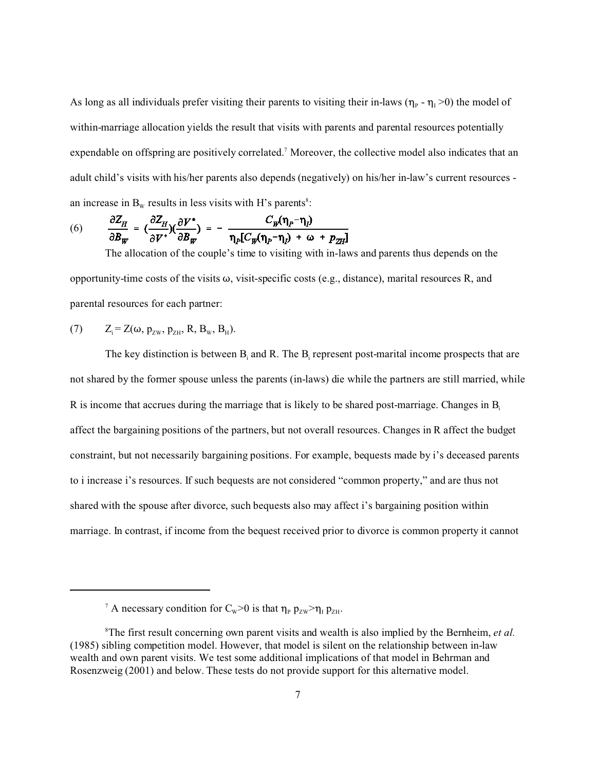As long as all individuals prefer visiting their parents to visiting their in-laws ( $\eta_P$  -  $\eta_I$  >0) the model of within-marriage allocation yields the result that visits with parents and parental resources potentially expendable on offspring are positively correlated.<sup>7</sup> Moreover, the collective model also indicates that an adult child's visits with his/her parents also depends (negatively) on his/her in-law's current resources an increase in  $B_w$  results in less visits with H's parents<sup>8</sup>:

(6) 
$$
\frac{\partial Z_H}{\partial B_W} = \left(\frac{\partial Z_H}{\partial V^*}\right)\left(\frac{\partial V^*}{\partial B_W}\right) = -\frac{C_W(\eta_P - \eta_I)}{\eta_P[C_W(\eta_P - \eta_I) + \omega + p_{ZH}]}
$$

The allocation of the couple's time to visiting with in-laws and parents thus depends on the opportunity-time costs of the visits  $\omega$ , visit-specific costs (e.g., distance), marital resources R, and parental resources for each partner:

(7) 
$$
Z_i = Z(\omega, p_{zw}, p_{ZH}, R, B_w, B_H).
$$

The key distinction is between  $B_i$  and R. The  $B_i$  represent post-marital income prospects that are not shared by the former spouse unless the parents (in-laws) die while the partners are still married, while R is income that accrues during the marriage that is likely to be shared post-marriage. Changes in  $B<sub>i</sub>$ affect the bargaining positions of the partners, but not overall resources. Changes in R affect the budget constraint, but not necessarily bargaining positions. For example, bequests made by i's deceased parents to i increase i's resources. If such bequests are not considered "common property," and are thus not shared with the spouse after divorce, such bequests also may affect i's bargaining position within marriage. In contrast, if income from the bequest received prior to divorce is common property it cannot

<sup>&</sup>lt;sup>7</sup> A necessary condition for C<sub>W</sub>>0 is that  $\eta_P p_{ZW} > \eta_I p_{ZH}$ .

<sup>8</sup>The first result concerning own parent visits and wealth is also implied by the Bernheim, *et al.* (1985) sibling competition model. However, that model is silent on the relationship between in-law wealth and own parent visits. We test some additional implications of that model in Behrman and Rosenzweig (2001) and below. These tests do not provide support for this alternative model.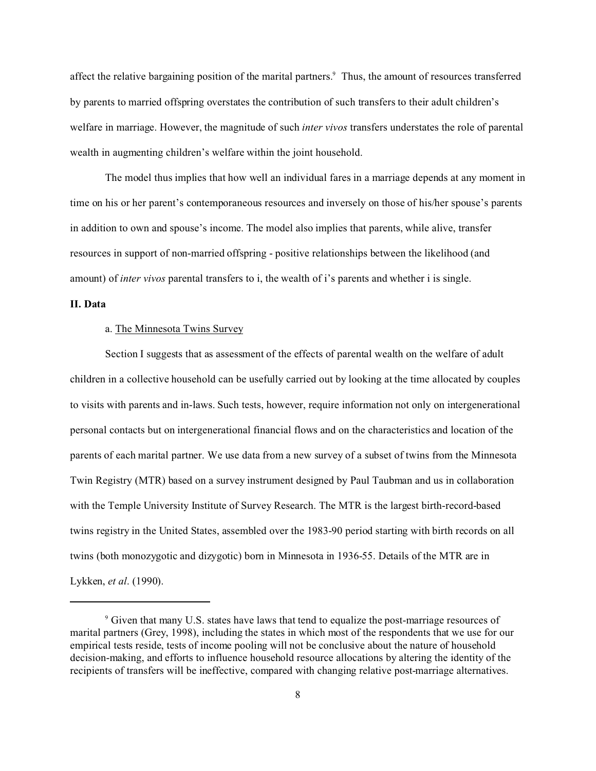affect the relative bargaining position of the marital partners.<sup>9</sup> Thus, the amount of resources transferred by parents to married offspring overstates the contribution of such transfers to their adult children's welfare in marriage. However, the magnitude of such *inter vivos* transfers understates the role of parental wealth in augmenting children's welfare within the joint household.

The model thus implies that how well an individual fares in a marriage depends at any moment in time on his or her parent's contemporaneous resources and inversely on those of his/her spouse's parents in addition to own and spouse's income. The model also implies that parents, while alive, transfer resources in support of non-married offspring - positive relationships between the likelihood (and amount) of *inter vivos* parental transfers to i, the wealth of i's parents and whether i is single.

#### **II. Data**

# a. The Minnesota Twins Survey

Section I suggests that as assessment of the effects of parental wealth on the welfare of adult children in a collective household can be usefully carried out by looking at the time allocated by couples to visits with parents and in-laws. Such tests, however, require information not only on intergenerational personal contacts but on intergenerational financial flows and on the characteristics and location of the parents of each marital partner. We use data from a new survey of a subset of twins from the Minnesota Twin Registry (MTR) based on a survey instrument designed by Paul Taubman and us in collaboration with the Temple University Institute of Survey Research. The MTR is the largest birth-record-based twins registry in the United States, assembled over the 1983-90 period starting with birth records on all twins (both monozygotic and dizygotic) born in Minnesota in 1936-55. Details of the MTR are in Lykken, *et al*. (1990).

<sup>&</sup>lt;sup>9</sup> Given that many U.S. states have laws that tend to equalize the post-marriage resources of marital partners (Grey, 1998), including the states in which most of the respondents that we use for our empirical tests reside, tests of income pooling will not be conclusive about the nature of household decision-making, and efforts to influence household resource allocations by altering the identity of the recipients of transfers will be ineffective, compared with changing relative post-marriage alternatives.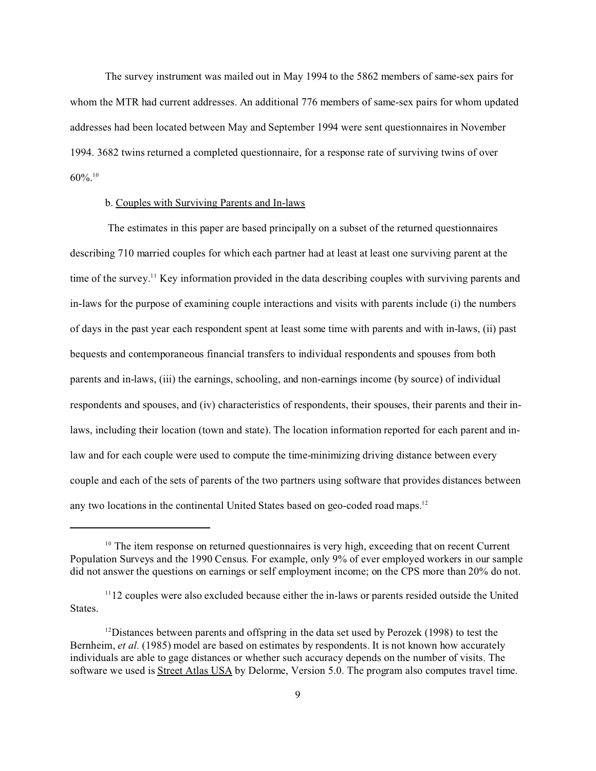The survey instrument was mailed out in May 1994 to the 5862 members of same-sex pairs for whom the MTR had current addresses. An additional 776 members of same-sex pairs for whom updated addresses had been located between May and September 1994 were sent questionnaires in November 1994. 3682 twins returned a completed questionnaire, for a response rate of surviving twins of over  $60\%$ <sup>10</sup>

# b. Couples with Surviving Parents and In-laws

 The estimates in this paper are based principally on a subset of the returned questionnaires describing 710 married couples for which each partner had at least at least one surviving parent at the time of the survey.<sup>11</sup> Key information provided in the data describing couples with surviving parents and in-laws for the purpose of examining couple interactions and visits with parents include (i) the numbers of days in the past year each respondent spent at least some time with parents and with in-laws, (ii) past bequests and contemporaneous financial transfers to individual respondents and spouses from both parents and in-laws, (iii) the earnings, schooling, and non-earnings income (by source) of individual respondents and spouses, and (iv) characteristics of respondents, their spouses, their parents and their inlaws, including their location (town and state). The location information reported for each parent and inlaw and for each couple were used to compute the time-minimizing driving distance between every couple and each of the sets of parents of the two partners using software that provides distances between any two locations in the continental United States based on geo-coded road maps.<sup>12</sup>

<sup>&</sup>lt;sup>10</sup> The item response on returned questionnaires is very high, exceeding that on recent Current Population Surveys and the 1990 Census. For example, only 9% of ever employed workers in our sample did not answer the questions on earnings or self employment income; on the CPS more than 20% do not.

 $1112$  couples were also excluded because either the in-laws or parents resided outside the United States.

<sup>&</sup>lt;sup>12</sup>Distances between parents and offspring in the data set used by Perozek (1998) to test the Bernheim, *et al.* (1985) model are based on estimates by respondents. It is not known how accurately individuals are able to gage distances or whether such accuracy depends on the number of visits. The software we used is Street Atlas USA by Delorme, Version 5.0. The program also computes travel time.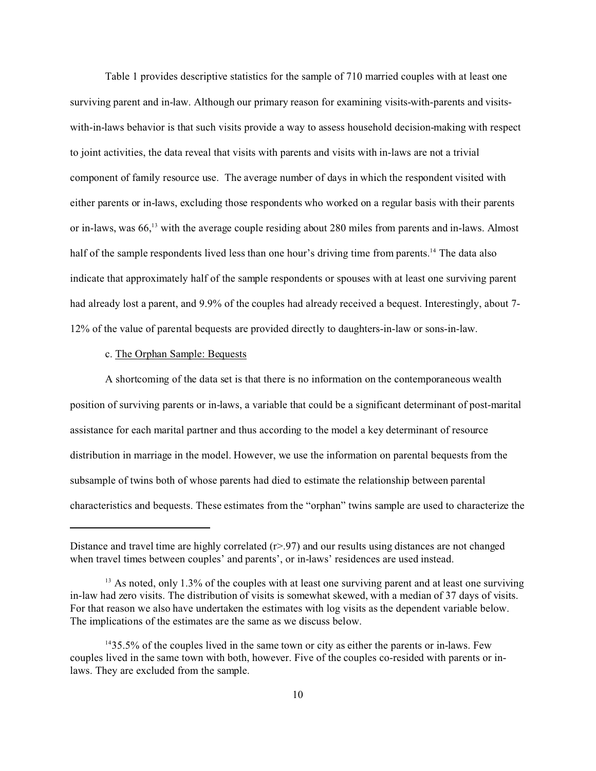Table 1 provides descriptive statistics for the sample of 710 married couples with at least one surviving parent and in-law. Although our primary reason for examining visits-with-parents and visitswith-in-laws behavior is that such visits provide a way to assess household decision-making with respect to joint activities, the data reveal that visits with parents and visits with in-laws are not a trivial component of family resource use. The average number of days in which the respondent visited with either parents or in-laws, excluding those respondents who worked on a regular basis with their parents or in-laws, was 66,<sup>13</sup> with the average couple residing about 280 miles from parents and in-laws. Almost half of the sample respondents lived less than one hour's driving time from parents.<sup>14</sup> The data also indicate that approximately half of the sample respondents or spouses with at least one surviving parent had already lost a parent, and 9.9% of the couples had already received a bequest. Interestingly, about 7- 12% of the value of parental bequests are provided directly to daughters-in-law or sons-in-law.

#### c. The Orphan Sample: Bequests

A shortcoming of the data set is that there is no information on the contemporaneous wealth position of surviving parents or in-laws, a variable that could be a significant determinant of post-marital assistance for each marital partner and thus according to the model a key determinant of resource distribution in marriage in the model. However, we use the information on parental bequests from the subsample of twins both of whose parents had died to estimate the relationship between parental characteristics and bequests. These estimates from the "orphan" twins sample are used to characterize the

Distance and travel time are highly correlated (r>.97) and our results using distances are not changed when travel times between couples' and parents', or in-laws' residences are used instead.

<sup>&</sup>lt;sup>13</sup> As noted, only 1.3% of the couples with at least one surviving parent and at least one surviving in-law had zero visits. The distribution of visits is somewhat skewed, with a median of 37 days of visits. For that reason we also have undertaken the estimates with log visits as the dependent variable below. The implications of the estimates are the same as we discuss below.

<sup>14</sup>35.5% of the couples lived in the same town or city as either the parents or in-laws. Few couples lived in the same town with both, however. Five of the couples co-resided with parents or inlaws. They are excluded from the sample.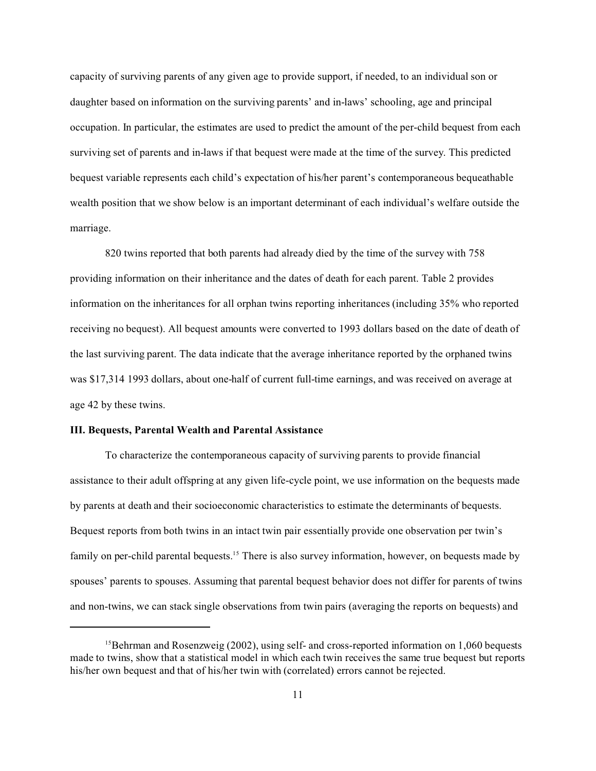capacity of surviving parents of any given age to provide support, if needed, to an individual son or daughter based on information on the surviving parents' and in-laws' schooling, age and principal occupation. In particular, the estimates are used to predict the amount of the per-child bequest from each surviving set of parents and in-laws if that bequest were made at the time of the survey. This predicted bequest variable represents each child's expectation of his/her parent's contemporaneous bequeathable wealth position that we show below is an important determinant of each individual's welfare outside the marriage.

820 twins reported that both parents had already died by the time of the survey with 758 providing information on their inheritance and the dates of death for each parent. Table 2 provides information on the inheritances for all orphan twins reporting inheritances (including 35% who reported receiving no bequest). All bequest amounts were converted to 1993 dollars based on the date of death of the last surviving parent. The data indicate that the average inheritance reported by the orphaned twins was \$17,314 1993 dollars, about one-half of current full-time earnings, and was received on average at age 42 by these twins.

## **III. Bequests, Parental Wealth and Parental Assistance**

To characterize the contemporaneous capacity of surviving parents to provide financial assistance to their adult offspring at any given life-cycle point, we use information on the bequests made by parents at death and their socioeconomic characteristics to estimate the determinants of bequests. Bequest reports from both twins in an intact twin pair essentially provide one observation per twin's family on per-child parental bequests.<sup>15</sup> There is also survey information, however, on bequests made by spouses' parents to spouses. Assuming that parental bequest behavior does not differ for parents of twins and non-twins, we can stack single observations from twin pairs (averaging the reports on bequests) and

<sup>&</sup>lt;sup>15</sup>Behrman and Rosenzweig (2002), using self- and cross-reported information on  $1,060$  bequests made to twins, show that a statistical model in which each twin receives the same true bequest but reports his/her own bequest and that of his/her twin with (correlated) errors cannot be rejected.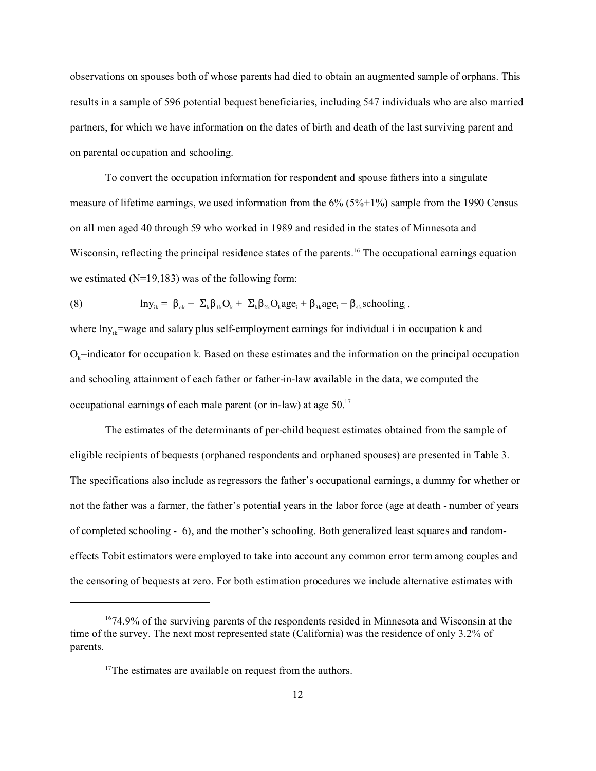observations on spouses both of whose parents had died to obtain an augmented sample of orphans. This results in a sample of 596 potential bequest beneficiaries, including 547 individuals who are also married partners, for which we have information on the dates of birth and death of the last surviving parent and on parental occupation and schooling.

To convert the occupation information for respondent and spouse fathers into a singulate measure of lifetime earnings, we used information from the 6% (5%+1%) sample from the 1990 Census on all men aged 40 through 59 who worked in 1989 and resided in the states of Minnesota and Wisconsin, reflecting the principal residence states of the parents.<sup>16</sup> The occupational earnings equation we estimated (N=19,183) was of the following form:

(8) 
$$
\ln y_{ik} = \beta_{ok} + \Sigma_k \beta_{1k} O_k + \Sigma_k \beta_{2k} O_k age_i + \beta_{3k} age_i + \beta_{4k} schooling_i,
$$

where  $\ln y_0$ =wage and salary plus self-employment earnings for individual i in occupation k and  $O_k$ =indicator for occupation k. Based on these estimates and the information on the principal occupation and schooling attainment of each father or father-in-law available in the data, we computed the occupational earnings of each male parent (or in-law) at age 50.<sup>17</sup>

The estimates of the determinants of per-child bequest estimates obtained from the sample of eligible recipients of bequests (orphaned respondents and orphaned spouses) are presented in Table 3. The specifications also include as regressors the father's occupational earnings, a dummy for whether or not the father was a farmer, the father's potential years in the labor force (age at death - number of years of completed schooling - 6), and the mother's schooling. Both generalized least squares and randomeffects Tobit estimators were employed to take into account any common error term among couples and the censoring of bequests at zero. For both estimation procedures we include alternative estimates with

 $1674.9\%$  of the surviving parents of the respondents resided in Minnesota and Wisconsin at the time of the survey. The next most represented state (California) was the residence of only 3.2% of parents.

<sup>&</sup>lt;sup>17</sup>The estimates are available on request from the authors.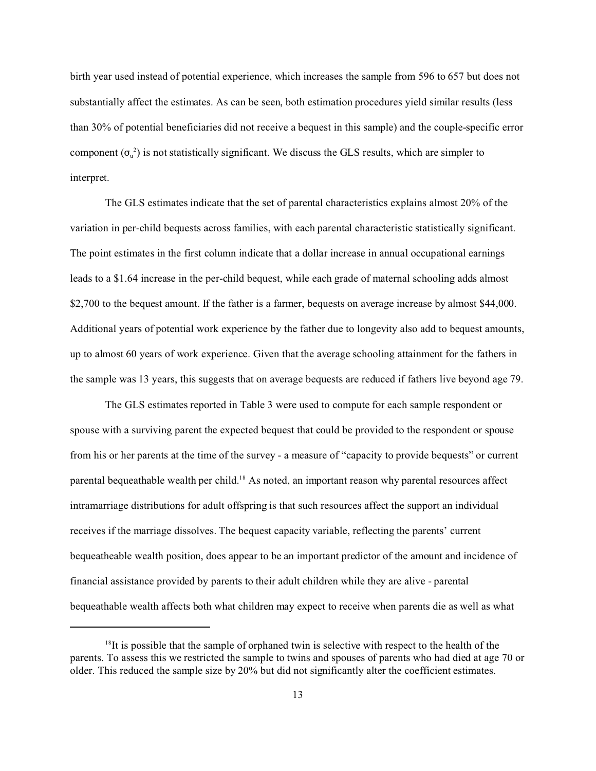birth year used instead of potential experience, which increases the sample from 596 to 657 but does not substantially affect the estimates. As can be seen, both estimation procedures yield similar results (less than 30% of potential beneficiaries did not receive a bequest in this sample) and the couple-specific error component  $(\sigma_u^2)$  is not statistically significant. We discuss the GLS results, which are simpler to interpret.

The GLS estimates indicate that the set of parental characteristics explains almost 20% of the variation in per-child bequests across families, with each parental characteristic statistically significant. The point estimates in the first column indicate that a dollar increase in annual occupational earnings leads to a \$1.64 increase in the per-child bequest, while each grade of maternal schooling adds almost \$2,700 to the bequest amount. If the father is a farmer, bequests on average increase by almost \$44,000. Additional years of potential work experience by the father due to longevity also add to bequest amounts, up to almost 60 years of work experience. Given that the average schooling attainment for the fathers in the sample was 13 years, this suggests that on average bequests are reduced if fathers live beyond age 79.

The GLS estimates reported in Table 3 were used to compute for each sample respondent or spouse with a surviving parent the expected bequest that could be provided to the respondent or spouse from his or her parents at the time of the survey - a measure of "capacity to provide bequests" or current parental bequeathable wealth per child.<sup>18</sup> As noted, an important reason why parental resources affect intramarriage distributions for adult offspring is that such resources affect the support an individual receives if the marriage dissolves. The bequest capacity variable, reflecting the parents' current bequeatheable wealth position, does appear to be an important predictor of the amount and incidence of financial assistance provided by parents to their adult children while they are alive - parental bequeathable wealth affects both what children may expect to receive when parents die as well as what

 $18$ It is possible that the sample of orphaned twin is selective with respect to the health of the parents. To assess this we restricted the sample to twins and spouses of parents who had died at age 70 or older. This reduced the sample size by 20% but did not significantly alter the coefficient estimates.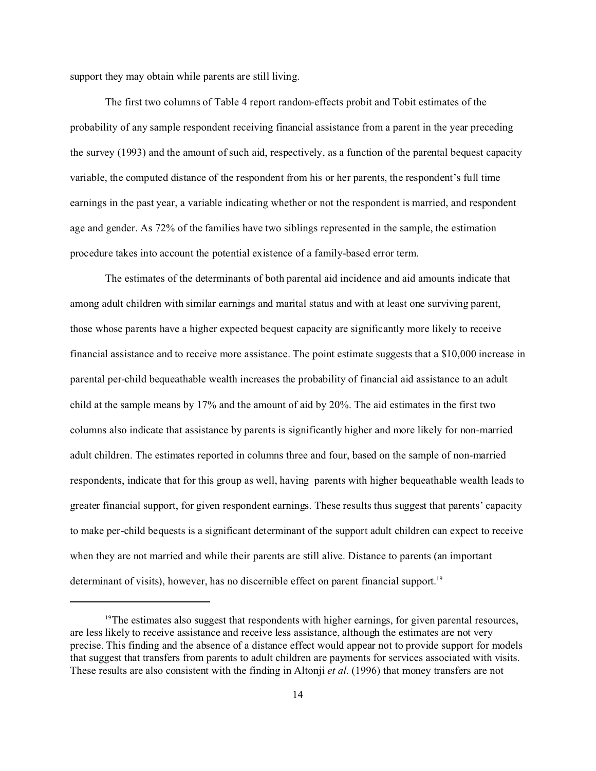support they may obtain while parents are still living.

The first two columns of Table 4 report random-effects probit and Tobit estimates of the probability of any sample respondent receiving financial assistance from a parent in the year preceding the survey (1993) and the amount of such aid, respectively, as a function of the parental bequest capacity variable, the computed distance of the respondent from his or her parents, the respondent's full time earnings in the past year, a variable indicating whether or not the respondent is married, and respondent age and gender. As 72% of the families have two siblings represented in the sample, the estimation procedure takes into account the potential existence of a family-based error term.

The estimates of the determinants of both parental aid incidence and aid amounts indicate that among adult children with similar earnings and marital status and with at least one surviving parent, those whose parents have a higher expected bequest capacity are significantly more likely to receive financial assistance and to receive more assistance. The point estimate suggests that a \$10,000 increase in parental per-child bequeathable wealth increases the probability of financial aid assistance to an adult child at the sample means by 17% and the amount of aid by 20%. The aid estimates in the first two columns also indicate that assistance by parents is significantly higher and more likely for non-married adult children. The estimates reported in columns three and four, based on the sample of non-married respondents, indicate that for this group as well, having parents with higher bequeathable wealth leads to greater financial support, for given respondent earnings. These results thus suggest that parents' capacity to make per-child bequests is a significant determinant of the support adult children can expect to receive when they are not married and while their parents are still alive. Distance to parents (an important determinant of visits), however, has no discernible effect on parent financial support.<sup>19</sup>

<sup>&</sup>lt;sup>19</sup>The estimates also suggest that respondents with higher earnings, for given parental resources, are less likely to receive assistance and receive less assistance, although the estimates are not very precise. This finding and the absence of a distance effect would appear not to provide support for models that suggest that transfers from parents to adult children are payments for services associated with visits. These results are also consistent with the finding in Altonji *et al.* (1996) that money transfers are not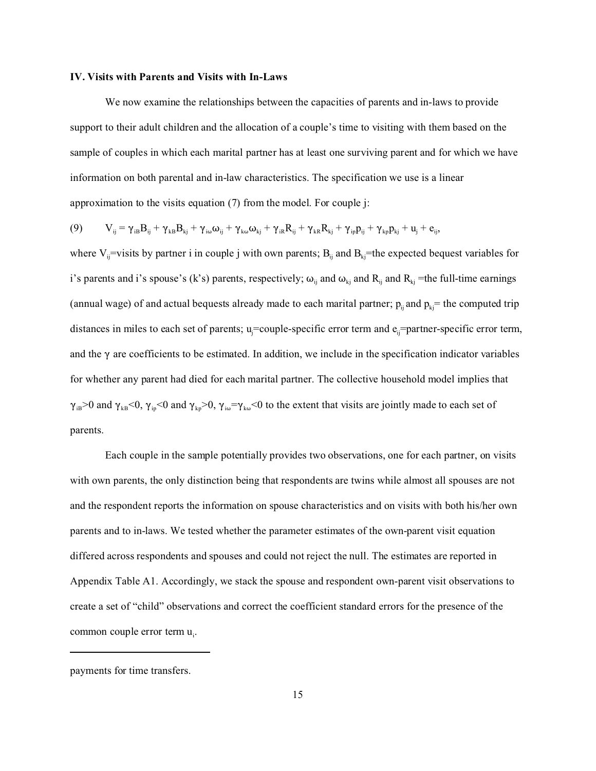#### **IV. Visits with Parents and Visits with In-Laws**

We now examine the relationships between the capacities of parents and in-laws to provide support to their adult children and the allocation of a couple's time to visiting with them based on the sample of couples in which each marital partner has at least one surviving parent and for which we have information on both parental and in-law characteristics. The specification we use is a linear approximation to the visits equation (7) from the model. For couple j:

$$
(9) \qquad V_{ij}=\gamma_{iB}B_{ij}+\gamma_{kB}B_{kj}+\gamma_{i\omega}\omega_{ij}+\gamma_{k\omega}\omega_{kj}+\gamma_{iR}R_{ij}+\gamma_{kR}R_{kj}+\gamma_{ip}p_{ij}+\gamma_{kp}p_{kj}+u_{j}+e_{ij},
$$

where V<sub>ij</sub>=visits by partner i in couple j with own parents;  $B_{ij}$  and  $B_{kj}$ =the expected bequest variables for i's parents and i's spouse's (k's) parents, respectively;  $\omega_{ii}$  and  $\omega_{ki}$  and  $R_{ki}$  =the full-time earnings (annual wage) of and actual bequests already made to each marital partner;  $p_{ij}$  and  $p_{ki}$ = the computed trip distances in miles to each set of parents;  $u_i=$ couple-specific error term and  $e_i=$ partner-specific error term, and the  $\gamma$  are coefficients to be estimated. In addition, we include in the specification indicator variables for whether any parent had died for each marital partner. The collective household model implies that  $\gamma_{IB}>0$  and  $\gamma_{kB}<0$ ,  $\gamma_{ip}<0$  and  $\gamma_{kp}>0$ ,  $\gamma_{io}=\gamma_{ko}<0$  to the extent that visits are jointly made to each set of parents.

Each couple in the sample potentially provides two observations, one for each partner, on visits with own parents, the only distinction being that respondents are twins while almost all spouses are not and the respondent reports the information on spouse characteristics and on visits with both his/her own parents and to in-laws. We tested whether the parameter estimates of the own-parent visit equation differed across respondents and spouses and could not reject the null. The estimates are reported in Appendix Table A1. Accordingly, we stack the spouse and respondent own-parent visit observations to create a set of "child" observations and correct the coefficient standard errors for the presence of the common couple error term u<sub>i</sub>.

payments for time transfers.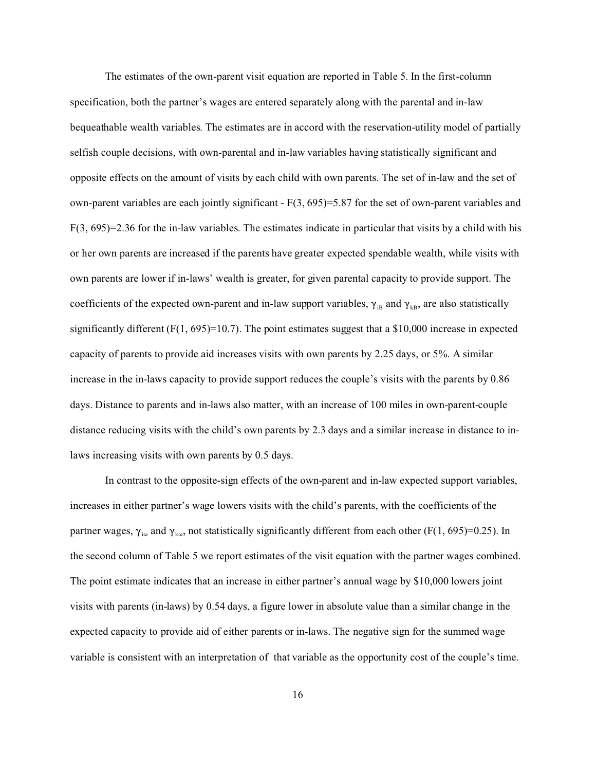The estimates of the own-parent visit equation are reported in Table 5. In the first-column specification, both the partner's wages are entered separately along with the parental and in-law bequeathable wealth variables. The estimates are in accord with the reservation-utility model of partially selfish couple decisions, with own-parental and in-law variables having statistically significant and opposite effects on the amount of visits by each child with own parents. The set of in-law and the set of own-parent variables are each jointly significant  $-F(3, 695)=5.87$  for the set of own-parent variables and F(3, 695)=2.36 for the in-law variables. The estimates indicate in particular that visits by a child with his or her own parents are increased if the parents have greater expected spendable wealth, while visits with own parents are lower if in-laws' wealth is greater, for given parental capacity to provide support. The coefficients of the expected own-parent and in-law support variables,  $\gamma_{IB}$  and  $\gamma_{kB}$ , are also statistically significantly different  $(F(1, 695)=10.7)$ . The point estimates suggest that a \$10,000 increase in expected capacity of parents to provide aid increases visits with own parents by 2.25 days, or 5%. A similar increase in the in-laws capacity to provide support reduces the couple's visits with the parents by 0.86 days. Distance to parents and in-laws also matter, with an increase of 100 miles in own-parent-couple distance reducing visits with the child's own parents by 2.3 days and a similar increase in distance to inlaws increasing visits with own parents by 0.5 days.

In contrast to the opposite-sign effects of the own-parent and in-law expected support variables, increases in either partner's wage lowers visits with the child's parents, with the coefficients of the partner wages,  $\gamma_{i\omega}$  and  $\gamma_{k\omega}$ , not statistically significantly different from each other (F(1, 695)=0.25). In the second column of Table 5 we report estimates of the visit equation with the partner wages combined. The point estimate indicates that an increase in either partner's annual wage by \$10,000 lowers joint visits with parents (in-laws) by 0.54 days, a figure lower in absolute value than a similar change in the expected capacity to provide aid of either parents or in-laws. The negative sign for the summed wage variable is consistent with an interpretation of that variable as the opportunity cost of the couple's time.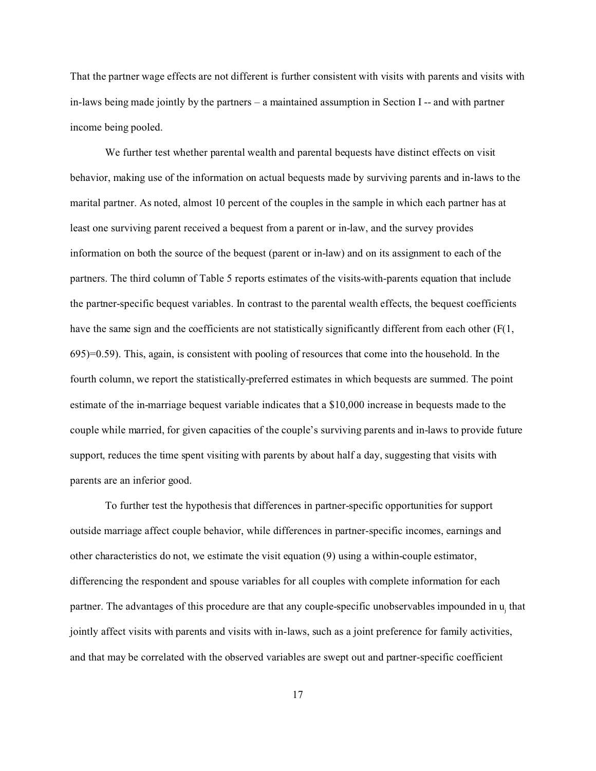That the partner wage effects are not different is further consistent with visits with parents and visits with in-laws being made jointly by the partners – a maintained assumption in Section I -- and with partner income being pooled.

We further test whether parental wealth and parental bequests have distinct effects on visit behavior, making use of the information on actual bequests made by surviving parents and in-laws to the marital partner. As noted, almost 10 percent of the couples in the sample in which each partner has at least one surviving parent received a bequest from a parent or in-law, and the survey provides information on both the source of the bequest (parent or in-law) and on its assignment to each of the partners. The third column of Table 5 reports estimates of the visits-with-parents equation that include the partner-specific bequest variables. In contrast to the parental wealth effects, the bequest coefficients have the same sign and the coefficients are not statistically significantly different from each other  $(F(1,$ 695)=0.59). This, again, is consistent with pooling of resources that come into the household. In the fourth column, we report the statistically-preferred estimates in which bequests are summed. The point estimate of the in-marriage bequest variable indicates that a \$10,000 increase in bequests made to the couple while married, for given capacities of the couple's surviving parents and in-laws to provide future support, reduces the time spent visiting with parents by about half a day, suggesting that visits with parents are an inferior good.

To further test the hypothesis that differences in partner-specific opportunities for support outside marriage affect couple behavior, while differences in partner-specific incomes, earnings and other characteristics do not, we estimate the visit equation (9) using a within-couple estimator, differencing the respondent and spouse variables for all couples with complete information for each partner. The advantages of this procedure are that any couple-specific unobservables impounded in u<sub>j</sub> that jointly affect visits with parents and visits with in-laws, such as a joint preference for family activities, and that may be correlated with the observed variables are swept out and partner-specific coefficient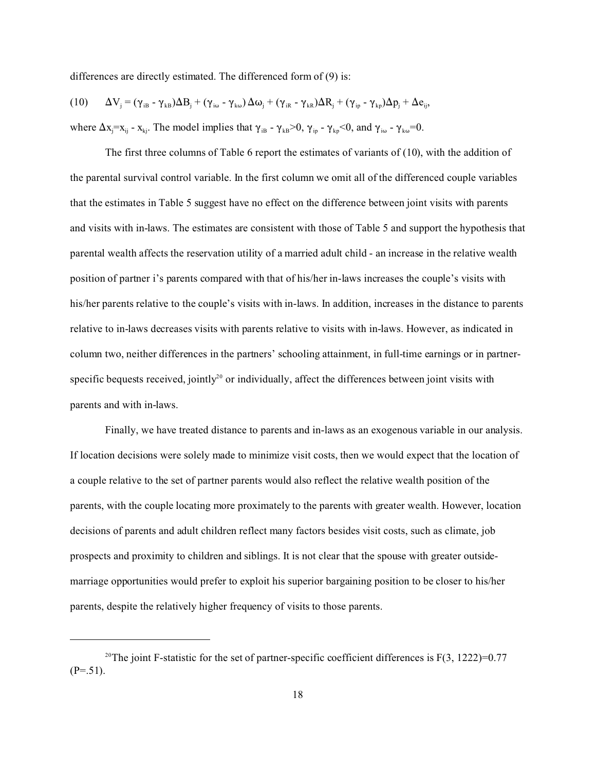differences are directly estimated. The differenced form of (9) is:

$$
(10)\qquad \Delta V_{j}=(\gamma_{iB}-\gamma_{kB})\Delta B_{j}+(\gamma_{i\omega}-\gamma_{k\omega})\,\Delta\omega_{j}+(\gamma_{iR}-\gamma_{kR})\Delta R_{j}+(\gamma_{ip}-\gamma_{kp})\Delta p_{j}+\Delta e_{ij},
$$

where  $\Delta x_j = x_{ij} - x_{ki}$ . The model implies that  $\gamma_{iB} - \gamma_{kB} > 0$ ,  $\gamma_{ip} - \gamma_{kp} < 0$ , and  $\gamma_{i\omega} - \gamma_{ka} = 0$ .

The first three columns of Table 6 report the estimates of variants of (10), with the addition of the parental survival control variable. In the first column we omit all of the differenced couple variables that the estimates in Table 5 suggest have no effect on the difference between joint visits with parents and visits with in-laws. The estimates are consistent with those of Table 5 and support the hypothesis that parental wealth affects the reservation utility of a married adult child - an increase in the relative wealth position of partner i's parents compared with that of his/her in-laws increases the couple's visits with his/her parents relative to the couple's visits with in-laws. In addition, increases in the distance to parents relative to in-laws decreases visits with parents relative to visits with in-laws. However, as indicated in column two, neither differences in the partners' schooling attainment, in full-time earnings or in partnerspecific bequests received, jointly<sup>20</sup> or individually, affect the differences between joint visits with parents and with in-laws.

Finally, we have treated distance to parents and in-laws as an exogenous variable in our analysis. If location decisions were solely made to minimize visit costs, then we would expect that the location of a couple relative to the set of partner parents would also reflect the relative wealth position of the parents, with the couple locating more proximately to the parents with greater wealth. However, location decisions of parents and adult children reflect many factors besides visit costs, such as climate, job prospects and proximity to children and siblings. It is not clear that the spouse with greater outsidemarriage opportunities would prefer to exploit his superior bargaining position to be closer to his/her parents, despite the relatively higher frequency of visits to those parents.

<sup>&</sup>lt;sup>20</sup>The joint F-statistic for the set of partner-specific coefficient differences is  $F(3, 1222)=0.77$  $(P=.51)$ .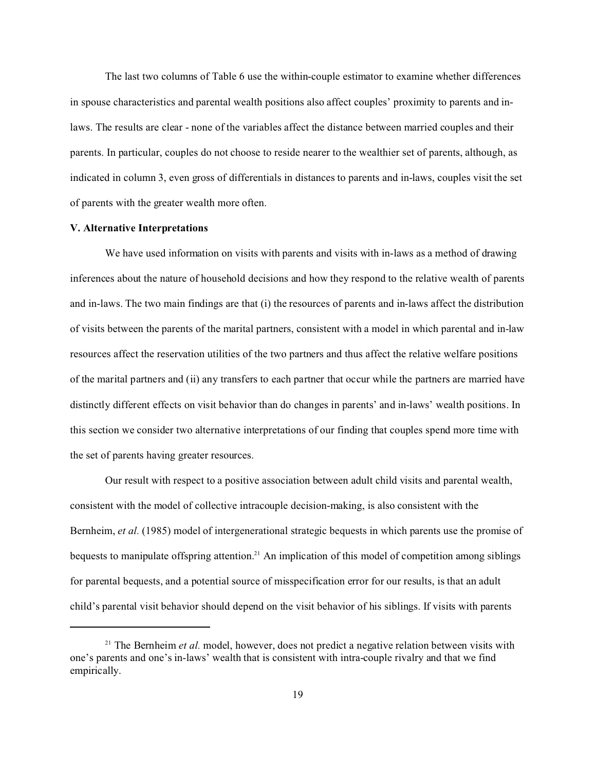The last two columns of Table 6 use the within-couple estimator to examine whether differences in spouse characteristics and parental wealth positions also affect couples' proximity to parents and inlaws. The results are clear - none of the variables affect the distance between married couples and their parents. In particular, couples do not choose to reside nearer to the wealthier set of parents, although, as indicated in column 3, even gross of differentials in distances to parents and in-laws, couples visit the set of parents with the greater wealth more often.

# **V. Alternative Interpretations**

We have used information on visits with parents and visits with in-laws as a method of drawing inferences about the nature of household decisions and how they respond to the relative wealth of parents and in-laws. The two main findings are that (i) the resources of parents and in-laws affect the distribution of visits between the parents of the marital partners, consistent with a model in which parental and in-law resources affect the reservation utilities of the two partners and thus affect the relative welfare positions of the marital partners and (ii) any transfers to each partner that occur while the partners are married have distinctly different effects on visit behavior than do changes in parents' and in-laws' wealth positions. In this section we consider two alternative interpretations of our finding that couples spend more time with the set of parents having greater resources.

Our result with respect to a positive association between adult child visits and parental wealth, consistent with the model of collective intracouple decision-making, is also consistent with the Bernheim, *et al.* (1985) model of intergenerational strategic bequests in which parents use the promise of bequests to manipulate offspring attention.<sup>21</sup> An implication of this model of competition among siblings for parental bequests, and a potential source of misspecification error for our results, is that an adult child's parental visit behavior should depend on the visit behavior of his siblings. If visits with parents

<sup>&</sup>lt;sup>21</sup> The Bernheim *et al.* model, however, does not predict a negative relation between visits with one's parents and one's in-laws' wealth that is consistent with intra-couple rivalry and that we find empirically.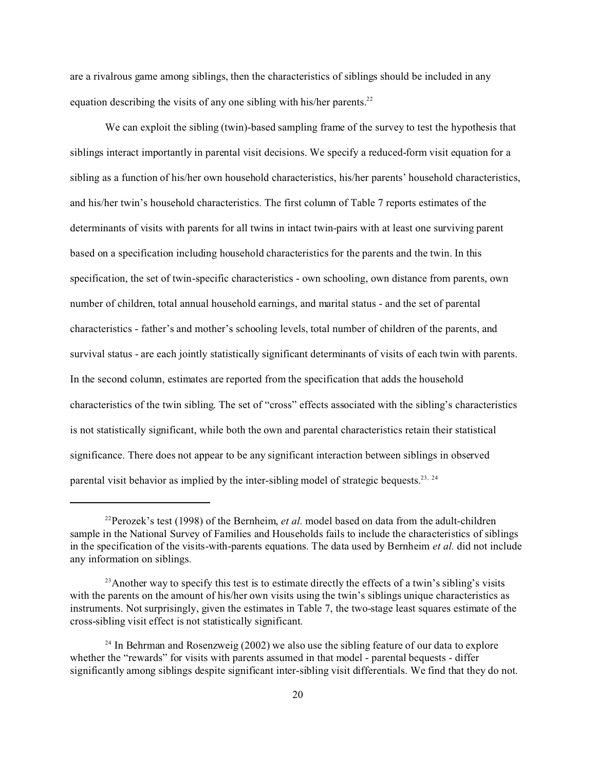are a rivalrous game among siblings, then the characteristics of siblings should be included in any equation describing the visits of any one sibling with his/her parents. $^{22}$ 

We can exploit the sibling (twin)-based sampling frame of the survey to test the hypothesis that siblings interact importantly in parental visit decisions. We specify a reduced-form visit equation for a sibling as a function of his/her own household characteristics, his/her parents' household characteristics, and his/her twin's household characteristics. The first column of Table 7 reports estimates of the determinants of visits with parents for all twins in intact twin-pairs with at least one surviving parent based on a specification including household characteristics for the parents and the twin. In this specification, the set of twin-specific characteristics - own schooling, own distance from parents, own number of children, total annual household earnings, and marital status - and the set of parental characteristics - father's and mother's schooling levels, total number of children of the parents, and survival status - are each jointly statistically significant determinants of visits of each twin with parents. In the second column, estimates are reported from the specification that adds the household characteristics of the twin sibling. The set of "cross" effects associated with the sibling's characteristics is not statistically significant, while both the own and parental characteristics retain their statistical significance. There does not appear to be any significant interaction between siblings in observed parental visit behavior as implied by the inter-sibling model of strategic bequests.<sup>23, 24</sup>

<sup>&</sup>lt;sup>22</sup>Perozek's test (1998) of the Bernheim, *et al.* model based on data from the adult-children sample in the National Survey of Families and Households fails to include the characteristics of siblings in the specification of the visits-with-parents equations. The data used by Bernheim *et al.* did not include any information on siblings.

<sup>&</sup>lt;sup>23</sup>Another way to specify this test is to estimate directly the effects of a twin's sibling's visits with the parents on the amount of his/her own visits using the twin's siblings unique characteristics as instruments. Not surprisingly, given the estimates in Table 7, the two-stage least squares estimate of the cross-sibling visit effect is not statistically significant.

 $24$  In Behrman and Rosenzweig (2002) we also use the sibling feature of our data to explore whether the "rewards" for visits with parents assumed in that model - parental bequests - differ significantly among siblings despite significant inter-sibling visit differentials. We find that they do not.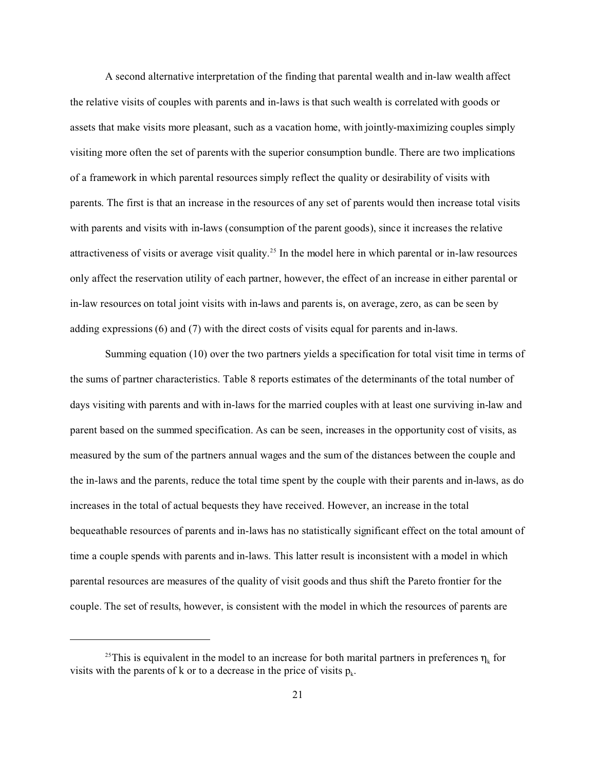A second alternative interpretation of the finding that parental wealth and in-law wealth affect the relative visits of couples with parents and in-laws is that such wealth is correlated with goods or assets that make visits more pleasant, such as a vacation home, with jointly-maximizing couples simply visiting more often the set of parents with the superior consumption bundle. There are two implications of a framework in which parental resources simply reflect the quality or desirability of visits with parents. The first is that an increase in the resources of any set of parents would then increase total visits with parents and visits with in-laws (consumption of the parent goods), since it increases the relative attractiveness of visits or average visit quality.<sup>25</sup> In the model here in which parental or in-law resources only affect the reservation utility of each partner, however, the effect of an increase in either parental or in-law resources on total joint visits with in-laws and parents is, on average, zero, as can be seen by adding expressions (6) and (7) with the direct costs of visits equal for parents and in-laws.

Summing equation (10) over the two partners yields a specification for total visit time in terms of the sums of partner characteristics. Table 8 reports estimates of the determinants of the total number of days visiting with parents and with in-laws for the married couples with at least one surviving in-law and parent based on the summed specification. As can be seen, increases in the opportunity cost of visits, as measured by the sum of the partners annual wages and the sum of the distances between the couple and the in-laws and the parents, reduce the total time spent by the couple with their parents and in-laws, as do increases in the total of actual bequests they have received. However, an increase in the total bequeathable resources of parents and in-laws has no statistically significant effect on the total amount of time a couple spends with parents and in-laws. This latter result is inconsistent with a model in which parental resources are measures of the quality of visit goods and thus shift the Pareto frontier for the couple. The set of results, however, is consistent with the model in which the resources of parents are

<sup>&</sup>lt;sup>25</sup>This is equivalent in the model to an increase for both marital partners in preferences  $\eta_k$  for visits with the parents of k or to a decrease in the price of visits  $p_k$ .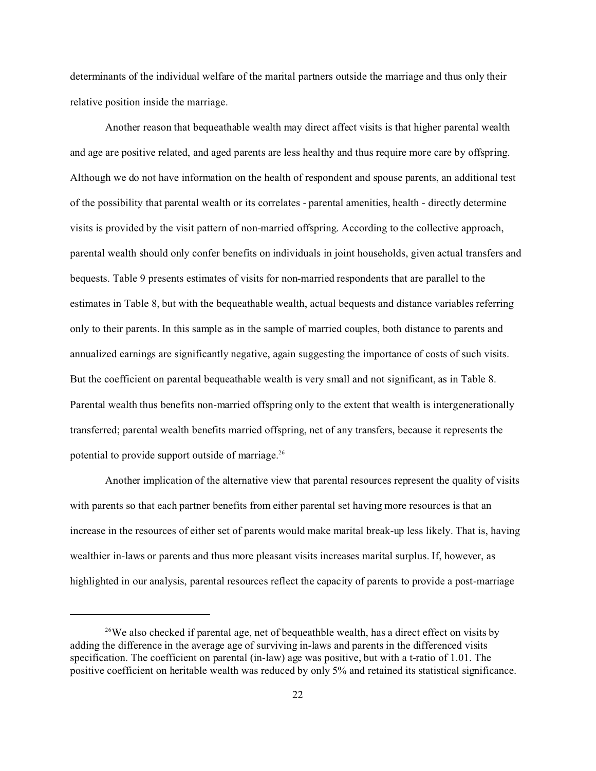determinants of the individual welfare of the marital partners outside the marriage and thus only their relative position inside the marriage.

Another reason that bequeathable wealth may direct affect visits is that higher parental wealth and age are positive related, and aged parents are less healthy and thus require more care by offspring. Although we do not have information on the health of respondent and spouse parents, an additional test of the possibility that parental wealth or its correlates - parental amenities, health - directly determine visits is provided by the visit pattern of non-married offspring. According to the collective approach, parental wealth should only confer benefits on individuals in joint households, given actual transfers and bequests. Table 9 presents estimates of visits for non-married respondents that are parallel to the estimates in Table 8, but with the bequeathable wealth, actual bequests and distance variables referring only to their parents. In this sample as in the sample of married couples, both distance to parents and annualized earnings are significantly negative, again suggesting the importance of costs of such visits. But the coefficient on parental bequeathable wealth is very small and not significant, as in Table 8. Parental wealth thus benefits non-married offspring only to the extent that wealth is intergenerationally transferred; parental wealth benefits married offspring, net of any transfers, because it represents the potential to provide support outside of marriage.<sup>26</sup>

Another implication of the alternative view that parental resources represent the quality of visits with parents so that each partner benefits from either parental set having more resources is that an increase in the resources of either set of parents would make marital break-up less likely. That is, having wealthier in-laws or parents and thus more pleasant visits increases marital surplus. If, however, as highlighted in our analysis, parental resources reflect the capacity of parents to provide a post-marriage

<sup>&</sup>lt;sup>26</sup>We also checked if parental age, net of bequeathble wealth, has a direct effect on visits by adding the difference in the average age of surviving in-laws and parents in the differenced visits specification. The coefficient on parental (in-law) age was positive, but with a t-ratio of 1.01. The positive coefficient on heritable wealth was reduced by only 5% and retained its statistical significance.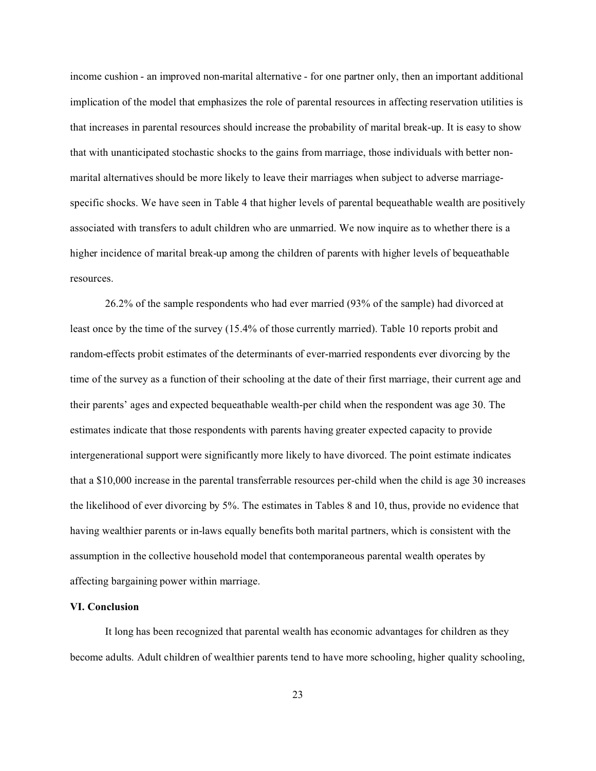income cushion - an improved non-marital alternative - for one partner only, then an important additional implication of the model that emphasizes the role of parental resources in affecting reservation utilities is that increases in parental resources should increase the probability of marital break-up. It is easy to show that with unanticipated stochastic shocks to the gains from marriage, those individuals with better nonmarital alternatives should be more likely to leave their marriages when subject to adverse marriagespecific shocks. We have seen in Table 4 that higher levels of parental bequeathable wealth are positively associated with transfers to adult children who are unmarried. We now inquire as to whether there is a higher incidence of marital break-up among the children of parents with higher levels of bequeathable resources.

26.2% of the sample respondents who had ever married (93% of the sample) had divorced at least once by the time of the survey (15.4% of those currently married). Table 10 reports probit and random-effects probit estimates of the determinants of ever-married respondents ever divorcing by the time of the survey as a function of their schooling at the date of their first marriage, their current age and their parents' ages and expected bequeathable wealth-per child when the respondent was age 30. The estimates indicate that those respondents with parents having greater expected capacity to provide intergenerational support were significantly more likely to have divorced. The point estimate indicates that a \$10,000 increase in the parental transferrable resources per-child when the child is age 30 increases the likelihood of ever divorcing by 5%. The estimates in Tables 8 and 10, thus, provide no evidence that having wealthier parents or in-laws equally benefits both marital partners, which is consistent with the assumption in the collective household model that contemporaneous parental wealth operates by affecting bargaining power within marriage.

## **VI. Conclusion**

It long has been recognized that parental wealth has economic advantages for children as they become adults. Adult children of wealthier parents tend to have more schooling, higher quality schooling,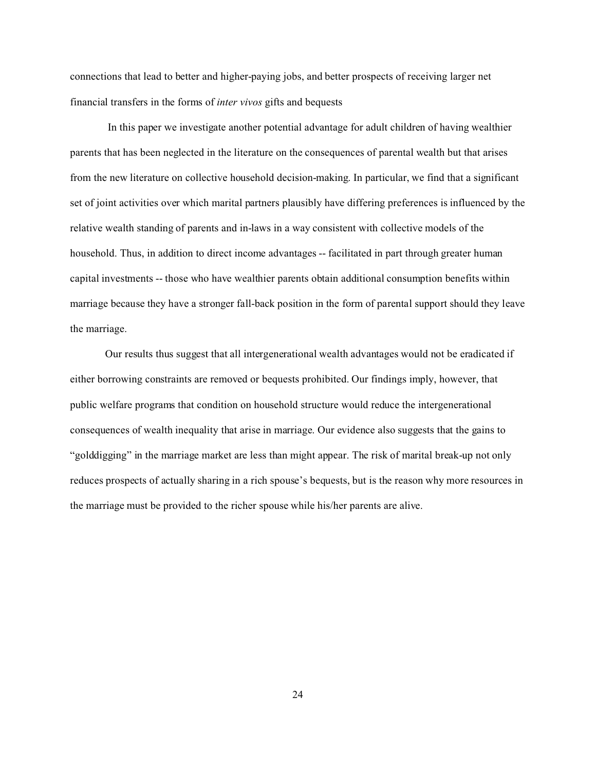connections that lead to better and higher-paying jobs, and better prospects of receiving larger net financial transfers in the forms of *inter vivos* gifts and bequests

 In this paper we investigate another potential advantage for adult children of having wealthier parents that has been neglected in the literature on the consequences of parental wealth but that arises from the new literature on collective household decision-making. In particular, we find that a significant set of joint activities over which marital partners plausibly have differing preferences is influenced by the relative wealth standing of parents and in-laws in a way consistent with collective models of the household. Thus, in addition to direct income advantages -- facilitated in part through greater human capital investments -- those who have wealthier parents obtain additional consumption benefits within marriage because they have a stronger fall-back position in the form of parental support should they leave the marriage.

Our results thus suggest that all intergenerational wealth advantages would not be eradicated if either borrowing constraints are removed or bequests prohibited. Our findings imply, however, that public welfare programs that condition on household structure would reduce the intergenerational consequences of wealth inequality that arise in marriage. Our evidence also suggests that the gains to "golddigging" in the marriage market are less than might appear. The risk of marital break-up not only reduces prospects of actually sharing in a rich spouse's bequests, but is the reason why more resources in the marriage must be provided to the richer spouse while his/her parents are alive.

24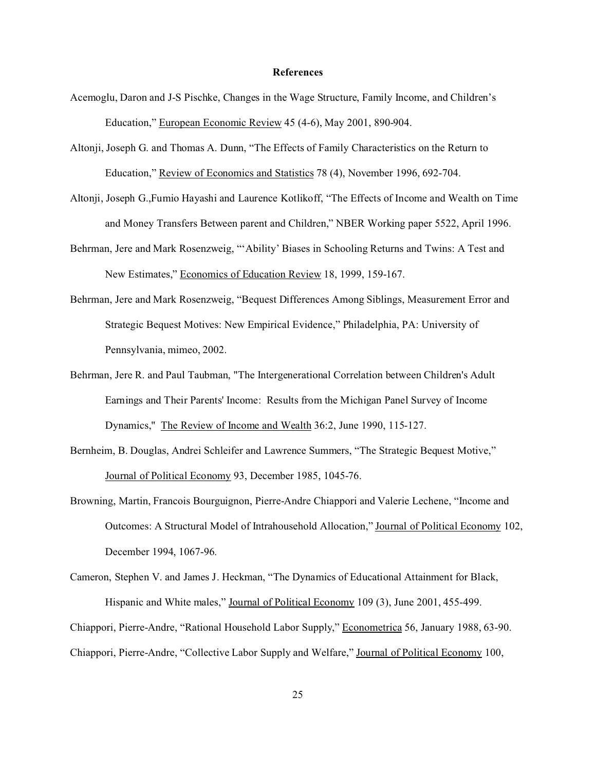## **References**

- Acemoglu, Daron and J-S Pischke, Changes in the Wage Structure, Family Income, and Children's Education," European Economic Review 45 (4-6), May 2001, 890-904.
- Altonji, Joseph G. and Thomas A. Dunn, "The Effects of Family Characteristics on the Return to Education," Review of Economics and Statistics 78 (4), November 1996, 692-704.
- Altonji, Joseph G.,Fumio Hayashi and Laurence Kotlikoff, "The Effects of Income and Wealth on Time and Money Transfers Between parent and Children," NBER Working paper 5522, April 1996.
- Behrman, Jere and Mark Rosenzweig, "'Ability' Biases in Schooling Returns and Twins: A Test and New Estimates," Economics of Education Review 18, 1999, 159-167.
- Behrman, Jere and Mark Rosenzweig, "Bequest Differences Among Siblings, Measurement Error and Strategic Bequest Motives: New Empirical Evidence," Philadelphia, PA: University of Pennsylvania, mimeo, 2002.
- Behrman, Jere R. and Paul Taubman, "The Intergenerational Correlation between Children's Adult Earnings and Their Parents' Income: Results from the Michigan Panel Survey of Income Dynamics," The Review of Income and Wealth 36:2, June 1990, 115-127.
- Bernheim, B. Douglas, Andrei Schleifer and Lawrence Summers, "The Strategic Bequest Motive," Journal of Political Economy 93, December 1985, 1045-76.
- Browning, Martin, Francois Bourguignon, Pierre-Andre Chiappori and Valerie Lechene, "Income and Outcomes: A Structural Model of Intrahousehold Allocation," Journal of Political Economy 102, December 1994, 1067-96.
- Cameron, Stephen V. and James J. Heckman, "The Dynamics of Educational Attainment for Black, Hispanic and White males," Journal of Political Economy 109 (3), June 2001, 455-499.

Chiappori, Pierre-Andre, "Rational Household Labor Supply," Econometrica 56, January 1988, 63-90.

Chiappori, Pierre-Andre, "Collective Labor Supply and Welfare," Journal of Political Economy 100,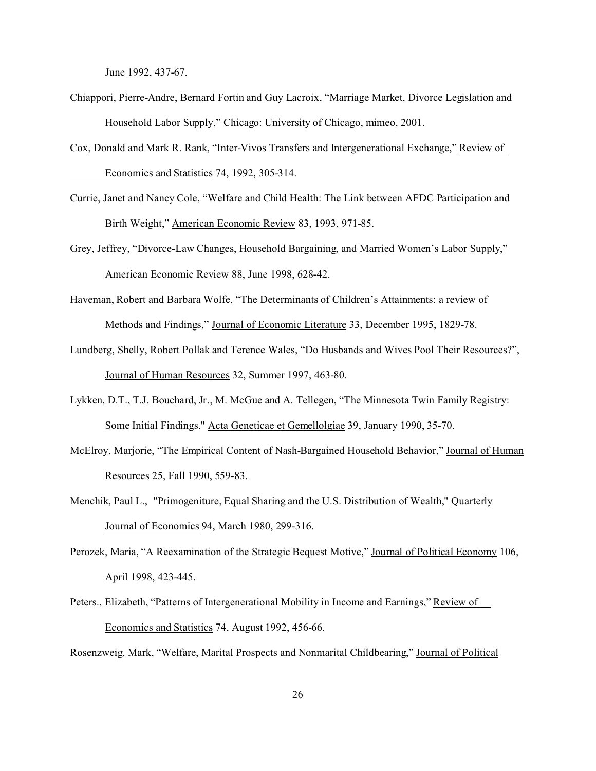June 1992, 437-67.

- Chiappori, Pierre-Andre, Bernard Fortin and Guy Lacroix, "Marriage Market, Divorce Legislation and Household Labor Supply," Chicago: University of Chicago, mimeo, 2001.
- Cox, Donald and Mark R. Rank, "Inter-Vivos Transfers and Intergenerational Exchange," Review of Economics and Statistics 74, 1992, 305-314.
- Currie, Janet and Nancy Cole, "Welfare and Child Health: The Link between AFDC Participation and Birth Weight," American Economic Review 83, 1993, 971-85.
- Grey, Jeffrey, "Divorce-Law Changes, Household Bargaining, and Married Women's Labor Supply," American Economic Review 88, June 1998, 628-42.
- Haveman, Robert and Barbara Wolfe, "The Determinants of Children's Attainments: a review of Methods and Findings," Journal of Economic Literature 33, December 1995, 1829-78.
- Lundberg, Shelly, Robert Pollak and Terence Wales, "Do Husbands and Wives Pool Their Resources?", Journal of Human Resources 32, Summer 1997, 463-80.
- Lykken, D.T., T.J. Bouchard, Jr., M. McGue and A. Tellegen, "The Minnesota Twin Family Registry: Some Initial Findings." Acta Geneticae et Gemellolgiae 39, January 1990, 35-70.
- McElroy, Marjorie, "The Empirical Content of Nash-Bargained Household Behavior," Journal of Human Resources 25, Fall 1990, 559-83.
- Menchik, Paul L., "Primogeniture, Equal Sharing and the U.S. Distribution of Wealth," Quarterly Journal of Economics 94, March 1980, 299-316.
- Perozek, Maria, "A Reexamination of the Strategic Bequest Motive," Journal of Political Economy 106, April 1998, 423-445.
- Peters., Elizabeth, "Patterns of Intergenerational Mobility in Income and Earnings," Review of Economics and Statistics 74, August 1992, 456-66.

Rosenzweig, Mark, "Welfare, Marital Prospects and Nonmarital Childbearing," Journal of Political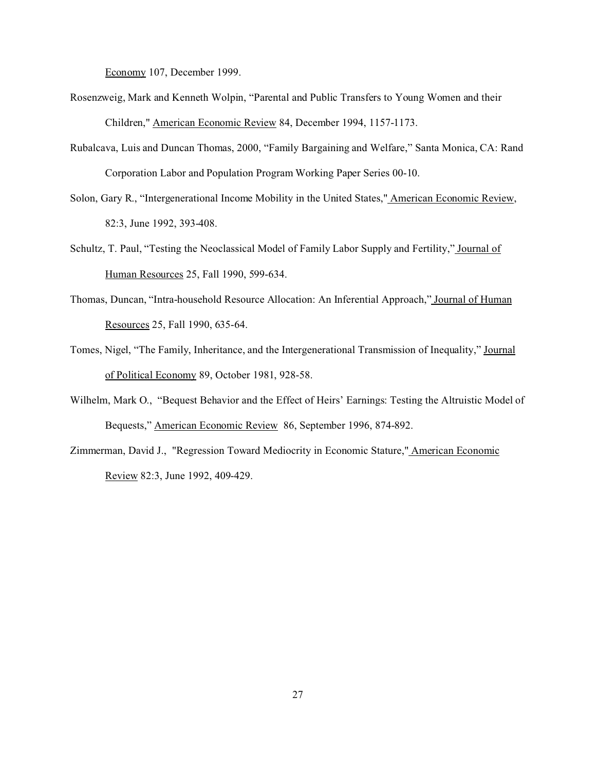Economy 107, December 1999.

- Rosenzweig, Mark and Kenneth Wolpin, "Parental and Public Transfers to Young Women and their Children," American Economic Review 84, December 1994, 1157-1173.
- Rubalcava, Luis and Duncan Thomas, 2000, "Family Bargaining and Welfare," Santa Monica, CA: Rand Corporation Labor and Population Program Working Paper Series 00-10.
- Solon, Gary R., "Intergenerational Income Mobility in the United States," American Economic Review, 82:3, June 1992, 393-408.
- Schultz, T. Paul, "Testing the Neoclassical Model of Family Labor Supply and Fertility," Journal of Human Resources 25, Fall 1990, 599-634.
- Thomas, Duncan, "Intra-household Resource Allocation: An Inferential Approach," Journal of Human Resources 25, Fall 1990, 635-64.
- Tomes, Nigel, "The Family, Inheritance, and the Intergenerational Transmission of Inequality," Journal of Political Economy 89, October 1981, 928-58.
- Wilhelm, Mark O., "Bequest Behavior and the Effect of Heirs' Earnings: Testing the Altruistic Model of Bequests," American Economic Review 86, September 1996, 874-892.
- Zimmerman, David J., "Regression Toward Mediocrity in Economic Stature," American Economic Review 82:3, June 1992, 409-429.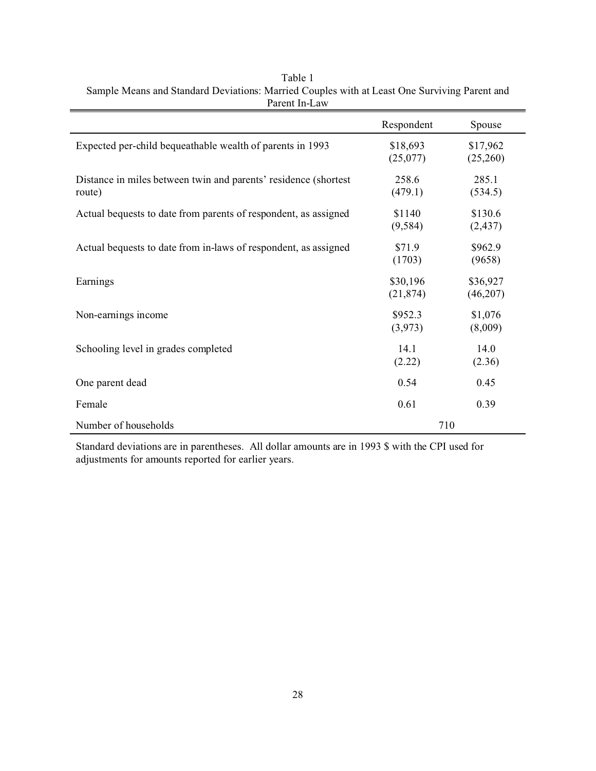|                                                                           | Respondent            | Spouse               |
|---------------------------------------------------------------------------|-----------------------|----------------------|
| Expected per-child bequeathable wealth of parents in 1993                 | \$18,693<br>(25,077)  | \$17,962<br>(25,260) |
| Distance in miles between twin and parents' residence (shortest<br>route) | 258.6<br>(479.1)      | 285.1<br>(534.5)     |
| Actual bequests to date from parents of respondent, as assigned           | \$1140<br>(9, 584)    | \$130.6<br>(2, 437)  |
| Actual bequests to date from in-laws of respondent, as assigned           | \$71.9<br>(1703)      | \$962.9<br>(9658)    |
| Earnings                                                                  | \$30,196<br>(21, 874) | \$36,927<br>(46,207) |
| Non-earnings income                                                       | \$952.3<br>(3,973)    | \$1,076<br>(8,009)   |
| Schooling level in grades completed                                       | 14.1<br>(2.22)        | 14.0<br>(2.36)       |
| One parent dead                                                           | 0.54                  | 0.45                 |
| Female                                                                    | 0.61                  | 0.39                 |
| Number of households                                                      | 710                   |                      |

| Table 1                                                                                      |
|----------------------------------------------------------------------------------------------|
| Sample Means and Standard Deviations: Married Couples with at Least One Surviving Parent and |
| Parent In-Law                                                                                |

Standard deviations are in parentheses. All dollar amounts are in 1993 \$ with the CPI used for adjustments for amounts reported for earlier years.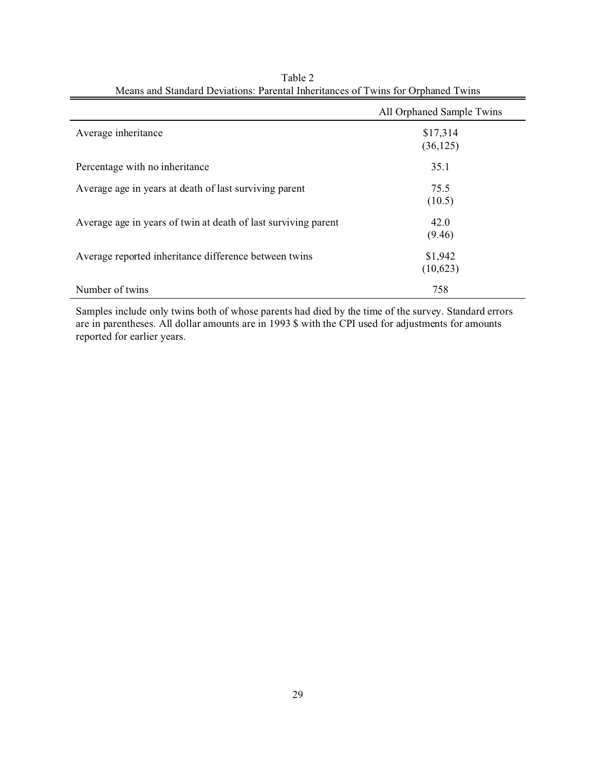|                                                                | All Orphaned Sample Twins |
|----------------------------------------------------------------|---------------------------|
| Average inheritance                                            | \$17,314<br>(36, 125)     |
| Percentage with no inheritance                                 | 35.1                      |
| Average age in years at death of last surviving parent         | 75.5<br>(10.5)            |
| Average age in years of twin at death of last surviving parent | 42.0<br>(9.46)            |
| Average reported inheritance difference between twins          | \$1,942<br>(10,623)       |
| Number of twins                                                | 758                       |

| Table 2                                                                          |  |
|----------------------------------------------------------------------------------|--|
| Means and Standard Deviations: Parental Inheritances of Twins for Orphaned Twins |  |

Samples include only twins both of whose parents had died by the time of the survey. Standard errors are in parentheses. All dollar amounts are in 1993 \$ with the CPI used for adjustments for amounts reported for earlier years.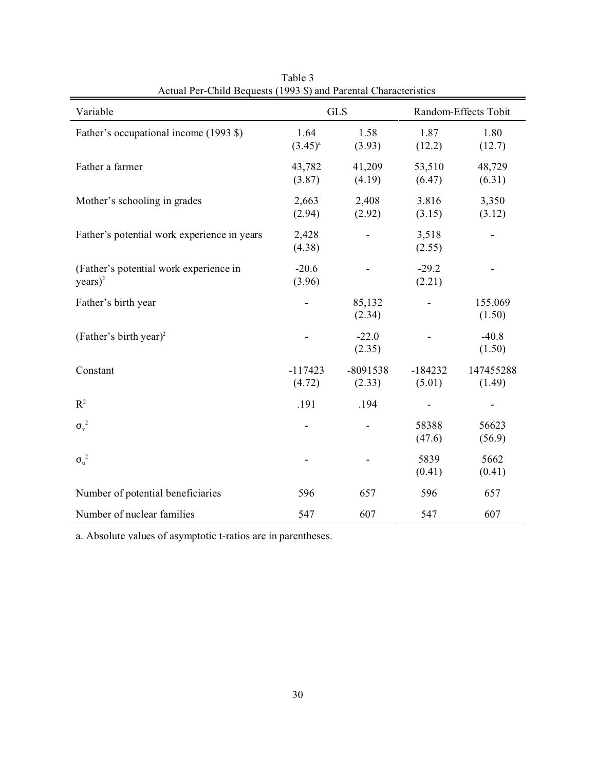| Actual I ci-Child Dequests (1999 \$) and I archital Characteristics<br>Variable | <b>GLS</b>           |                      | Random-Effects Tobit |                     |
|---------------------------------------------------------------------------------|----------------------|----------------------|----------------------|---------------------|
| Father's occupational income (1993 \$)                                          | 1.64<br>$(3.45)^{a}$ | 1.58<br>(3.93)       | 1.87<br>(12.2)       | 1.80<br>(12.7)      |
| Father a farmer                                                                 | 43,782<br>(3.87)     | 41,209<br>(4.19)     | 53,510<br>(6.47)     | 48,729<br>(6.31)    |
| Mother's schooling in grades                                                    | 2,663<br>(2.94)      | 2,408<br>(2.92)      | 3.816<br>(3.15)      | 3,350<br>(3.12)     |
| Father's potential work experience in years                                     | 2,428<br>(4.38)      |                      | 3,518<br>(2.55)      |                     |
| (Father's potential work experience in<br>$years)^2$                            | $-20.6$<br>(3.96)    |                      | $-29.2$<br>(2.21)    |                     |
| Father's birth year                                                             |                      | 85,132<br>(2.34)     |                      | 155,069<br>(1.50)   |
| (Father's birth year) <sup>2</sup>                                              |                      | $-22.0$<br>(2.35)    |                      | $-40.8$<br>(1.50)   |
| Constant                                                                        | $-117423$<br>(4.72)  | $-8091538$<br>(2.33) | $-184232$<br>(5.01)  | 147455288<br>(1.49) |
| $R^2$                                                                           | .191                 | .194                 | -                    |                     |
| $\sigma_{\rm v}^2$                                                              |                      |                      | 58388<br>(47.6)      | 56623<br>(56.9)     |
| $\sigma_u^2$                                                                    |                      |                      | 5839<br>(0.41)       | 5662<br>(0.41)      |
| Number of potential beneficiaries                                               | 596                  | 657                  | 596                  | 657                 |
| Number of nuclear families                                                      | 547                  | 607                  | 547                  | 607                 |

Table 3 Actual Per-Child Bequests (1993 \$) and Parental Characteristics

a. Absolute values of asymptotic t-ratios are in parentheses.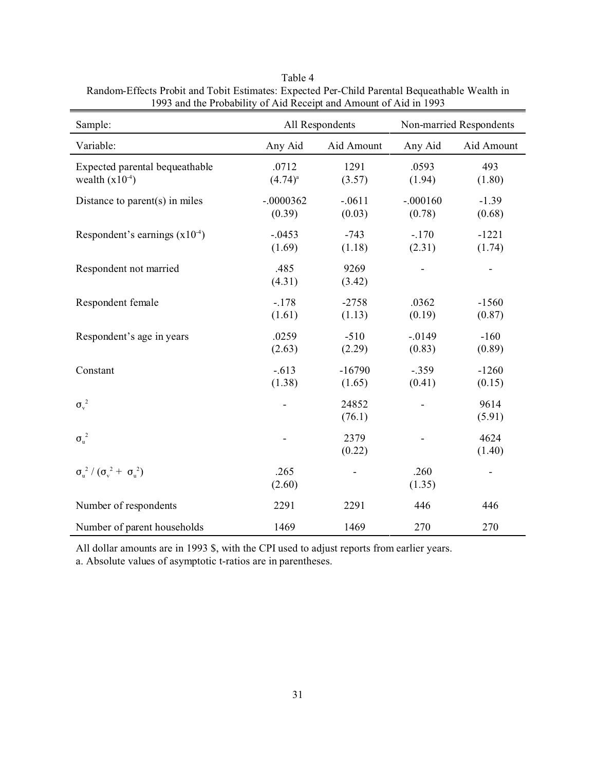| Sample:                                                      | All Respondents       |                    | Non-married Respondents |                              |
|--------------------------------------------------------------|-----------------------|--------------------|-------------------------|------------------------------|
| Variable:                                                    | Any Aid               | Aid Amount         | Any Aid                 | Aid Amount                   |
| Expected parental bequeathable<br>wealth $(x10^{-4})$        | .0712<br>$(4.74)^{a}$ | 1291<br>(3.57)     | .0593<br>(1.94)         | 493<br>(1.80)                |
| Distance to parent $(s)$ in miles                            | $-.0000362$<br>(0.39) | $-.0611$<br>(0.03) | $-.000160$<br>(0.78)    | $-1.39$<br>(0.68)            |
| Respondent's earnings $(x10-4)$                              | $-.0453$<br>(1.69)    | $-743$<br>(1.18)   | $-.170$<br>(2.31)       | $-1221$<br>(1.74)            |
| Respondent not married                                       | .485<br>(4.31)        | 9269<br>(3.42)     |                         | $\qquad \qquad \blacksquare$ |
| Respondent female                                            | $-.178$<br>(1.61)     | $-2758$<br>(1.13)  | .0362<br>(0.19)         | $-1560$<br>(0.87)            |
| Respondent's age in years                                    | .0259<br>(2.63)       | $-510$<br>(2.29)   | $-.0149$<br>(0.83)      | $-160$<br>(0.89)             |
| Constant                                                     | $-.613$<br>(1.38)     | $-16790$<br>(1.65) | $-.359$<br>(0.41)       | $-1260$<br>(0.15)            |
| $\sigma_{\rm v}^2$                                           |                       | 24852<br>(76.1)    |                         | 9614<br>(5.91)               |
| $\sigma_u^2$                                                 |                       | 2379<br>(0.22)     |                         | 4624<br>(1.40)               |
| $\sigma_{\rm u}^{2}/(\sigma_{\rm v}^{2}+\sigma_{\rm u}^{2})$ | .265<br>(2.60)        |                    | .260<br>(1.35)          | ۰                            |
| Number of respondents                                        | 2291                  | 2291               | 446                     | 446                          |
| Number of parent households                                  | 1469                  | 1469               | 270                     | 270                          |

Table 4 Random-Effects Probit and Tobit Estimates: Expected Per-Child Parental Bequeathable Wealth in 1993 and the Probability of Aid Receipt and Amount of Aid in 1993

All dollar amounts are in 1993 \$, with the CPI used to adjust reports from earlier years.

a. Absolute values of asymptotic t-ratios are in parentheses.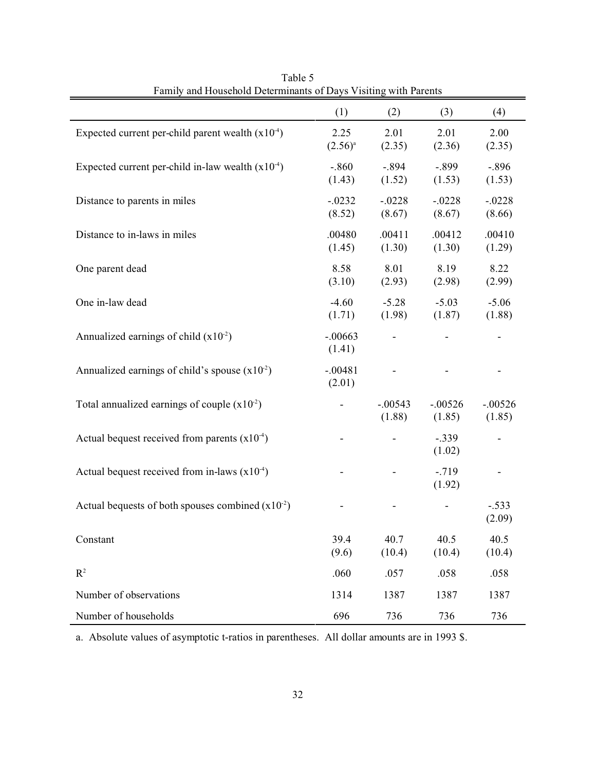|                                                       | (1)           | (2)            | (3)              | (4)               |
|-------------------------------------------------------|---------------|----------------|------------------|-------------------|
| Expected current per-child parent wealth $(x10-4)$    | 2.25          | 2.01           | 2.01             | 2.00              |
|                                                       | $(2.56)^{a}$  | (2.35)         | (2.36)           | (2.35)            |
| Expected current per-child in-law wealth $(x10^{-4})$ | $-.860$       | $-.894$        | $-.899$          | $-.896$           |
|                                                       | (1.43)        | (1.52)         | (1.53)           | (1.53)            |
| Distance to parents in miles                          | $-.0232$      | $-.0228$       | $-.0228$         | $-.0228$          |
|                                                       | (8.52)        | (8.67)         | (8.67)           | (8.66)            |
| Distance to in-laws in miles                          | .00480        | .00411         | .00412           | .00410            |
|                                                       | (1.45)        | (1.30)         | (1.30)           | (1.29)            |
| One parent dead                                       | 8.58          | 8.01           | 8.19             | 8.22              |
|                                                       | (3.10)        | (2.93)         | (2.98)           | (2.99)            |
| One in-law dead                                       | $-4.60$       | $-5.28$        | $-5.03$          | $-5.06$           |
|                                                       | (1.71)        | (1.98)         | (1.87)           | (1.88)            |
| Annualized earnings of child $(x10-2)$                | $-.00663$     |                |                  |                   |
|                                                       | (1.41)        |                |                  |                   |
| Annualized earnings of child's spouse $(x102)$        | $-.00481$     |                |                  |                   |
|                                                       | (2.01)        |                |                  |                   |
| Total annualized earnings of couple $(x10-2)$         |               | $-.00543$      | $-.00526$        | $-.00526$         |
|                                                       |               | (1.88)         | (1.85)           | (1.85)            |
| Actual bequest received from parents $(x10^{-4})$     |               |                | $-.339$          |                   |
|                                                       |               |                | (1.02)           |                   |
| Actual bequest received from in-laws $(x10^{-4})$     |               |                | $-719$<br>(1.92) |                   |
|                                                       |               |                |                  |                   |
| Actual bequests of both spouses combined $(x10^{-2})$ |               |                |                  | $-.533$<br>(2.09) |
|                                                       |               |                |                  |                   |
| Constant                                              | 39.4<br>(9.6) | 40.7<br>(10.4) | 40.5<br>(10.4)   | 40.5<br>(10.4)    |
|                                                       |               |                |                  |                   |
| $R^2$                                                 | .060          | .057           | .058             | .058              |
| Number of observations                                | 1314          | 1387           | 1387             | 1387              |
| Number of households                                  | 696           | 736            | 736              | 736               |

Table 5 Family and Household Determinants of Days Visiting with Parents

a. Absolute values of asymptotic t-ratios in parentheses. All dollar amounts are in 1993 \$.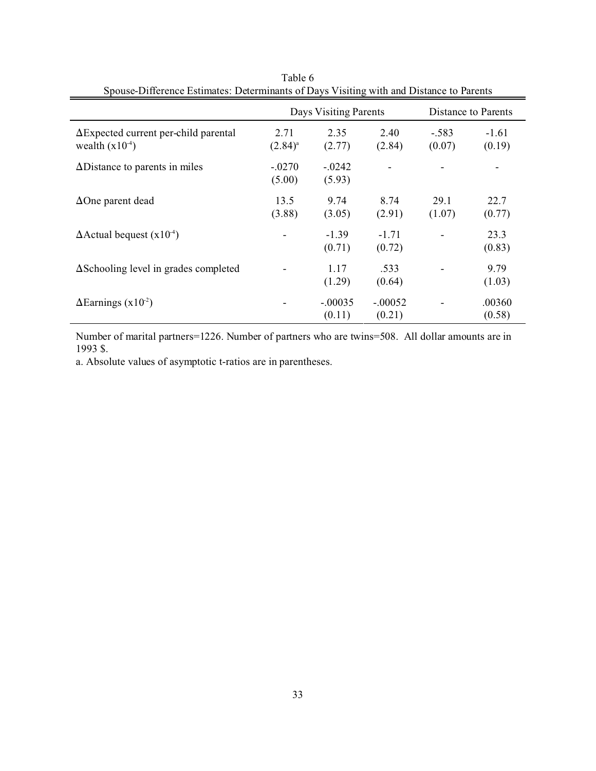| Spouse-Dincrence Estimates. Determinants of Days Visiting with and Distance to Farents |                      |                       |                     |                   |                     |  |
|----------------------------------------------------------------------------------------|----------------------|-----------------------|---------------------|-------------------|---------------------|--|
|                                                                                        |                      | Days Visiting Parents |                     |                   | Distance to Parents |  |
| $\Delta$ Expected current per-child parental<br>wealth $(x10^{-4})$                    | 2.71<br>$(2.84)^{a}$ | 2.35<br>(2.77)        | 2.40<br>(2.84)      | $-.583$<br>(0.07) | $-1.61$<br>(0.19)   |  |
| $\Delta$ Distance to parents in miles                                                  | $-.0270$<br>(5.00)   | $-.0242$<br>(5.93)    |                     |                   |                     |  |
| $\Delta$ One parent dead                                                               | 13.5<br>(3.88)       | 9.74<br>(3.05)        | 8.74<br>(2.91)      | 29.1<br>(1.07)    | 22.7<br>(0.77)      |  |
| $\Delta$ Actual bequest (x10 <sup>-4</sup> )                                           |                      | $-1.39$<br>(0.71)     | $-1.71$<br>(0.72)   |                   | 23.3<br>(0.83)      |  |
| $\Delta$ Schooling level in grades completed                                           |                      | 1.17<br>(1.29)        | .533<br>(0.64)      |                   | 9.79<br>(1.03)      |  |
| $\Delta$ Earnings (x10 <sup>-2</sup> )                                                 |                      | $-.00035$<br>(0.11)   | $-.00052$<br>(0.21) |                   | .00360<br>(0.58)    |  |

Table 6 Spouse-Difference Estimates: Determinants of Days Visiting with and Distance to Parents

Number of marital partners=1226. Number of partners who are twins=508. All dollar amounts are in 1993 \$.

a. Absolute values of asymptotic t-ratios are in parentheses.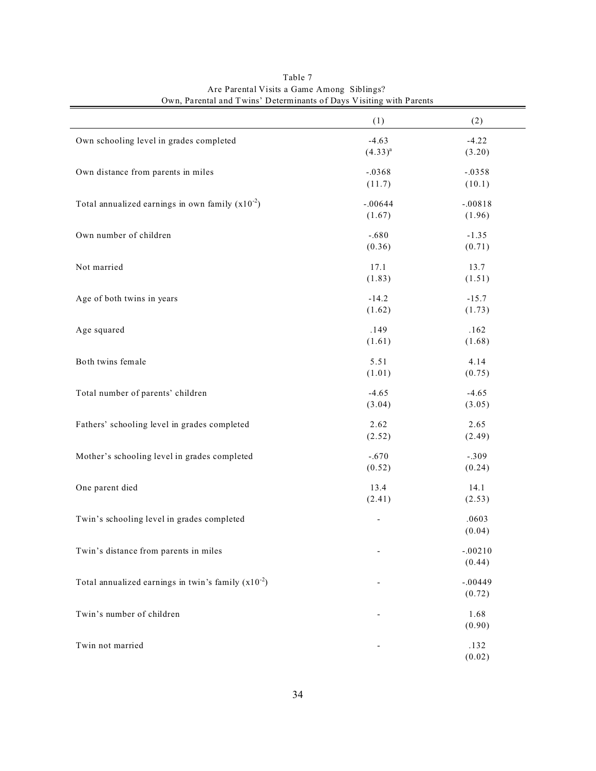| $\sigma$ wh, I divided that I wills the extentification of Duys $\alpha$ isiting with I divides |                   |                     |
|-------------------------------------------------------------------------------------------------|-------------------|---------------------|
|                                                                                                 | (1)               | (2)                 |
| Own schooling level in grades completed                                                         | $-4.63$           | $-4.22$             |
|                                                                                                 | $(4.33)^{a}$      | (3.20)              |
| Own distance from parents in miles                                                              | $-.0368$          | $-.0358$            |
|                                                                                                 | (11.7)            | (10.1)              |
| Total annualized earnings in own family $(x10^{-2})$                                            | $-.00644$         | $-.00818$           |
|                                                                                                 | (1.67)            | (1.96)              |
| Own number of children                                                                          | $-.680$           | $-1.35$             |
|                                                                                                 | (0.36)            | (0.71)              |
|                                                                                                 |                   |                     |
| Not married                                                                                     | 17.1<br>(1.83)    | 13.7<br>(1.51)      |
|                                                                                                 |                   |                     |
| Age of both twins in years                                                                      | $-14.2$<br>(1.62) | $-15.7$<br>(1.73)   |
|                                                                                                 |                   |                     |
| Age squared                                                                                     | .149              | .162                |
|                                                                                                 | (1.61)            | (1.68)              |
| Both twins female                                                                               | 5.51              | 4.14                |
|                                                                                                 | (1.01)            | (0.75)              |
| Total number of parents' children                                                               | $-4.65$           | $-4.65$             |
|                                                                                                 | (3.04)            | (3.05)              |
| Fathers' schooling level in grades completed                                                    | 2.62              | 2.65                |
|                                                                                                 | (2.52)            | (2.49)              |
| Mother's schooling level in grades completed                                                    | $-.670$           | $-.309$             |
|                                                                                                 | (0.52)            | (0.24)              |
| One parent died                                                                                 | 13.4              | 14.1                |
|                                                                                                 | (2.41)            | (2.53)              |
| Twin's schooling level in grades completed                                                      |                   | .0603               |
|                                                                                                 | -                 | (0.04)              |
|                                                                                                 |                   |                     |
| Twin's distance from parents in miles                                                           |                   | $-.00210$<br>(0.44) |
|                                                                                                 |                   |                     |
| Total annualized earnings in twin's family $(x10^{-2})$                                         |                   | $-.00449$           |
|                                                                                                 |                   | (0.72)              |
| Twin's number of children                                                                       |                   | 1.68                |
|                                                                                                 |                   | (0.90)              |
| Twin not married                                                                                |                   | .132                |
|                                                                                                 |                   | (0.02)              |

Table 7 Are Parental Visits a Game Among Siblings? Own, Parental and Twins' Determinants of Days Visiting with Parents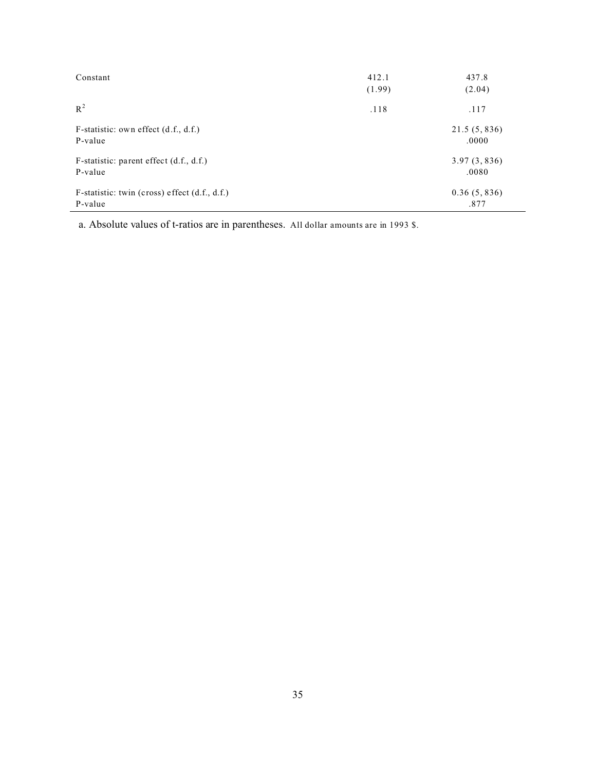| Constant                                                   | 412.1<br>(1.99) | 437.8<br>(2.04)       |
|------------------------------------------------------------|-----------------|-----------------------|
| $R^2$                                                      | .118            | .117                  |
| F-statistic: own effect $(d.f., d.f.)$<br>P-value          |                 | 21.5(5, 836)<br>.0000 |
| F-statistic: parent effect $(d.f., d.f.)$<br>P-value       |                 | 3.97(3, 836)<br>.0080 |
| F-statistic: twin (cross) effect $(d.f., d.f.)$<br>P-value |                 | 0.36(5, 836)<br>.877  |

a. Absolute values of t-ratios are in parentheses. All dollar amounts are in 1993 \$.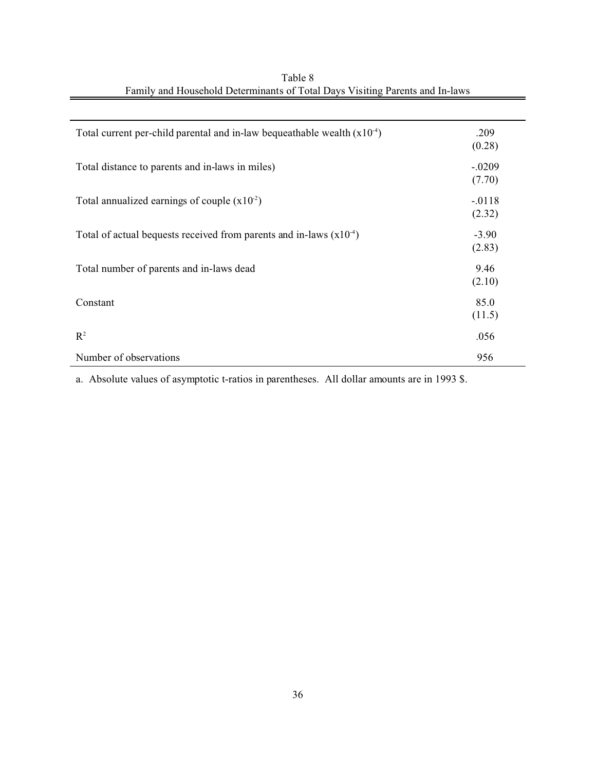| Total current per-child parental and in-law bequeathable wealth $(x10-4)$ | .209     |
|---------------------------------------------------------------------------|----------|
|                                                                           | (0.28)   |
| Total distance to parents and in-laws in miles)                           | $-.0209$ |
|                                                                           | (7.70)   |
| Total annualized earnings of couple $(x102)$                              | $-.0118$ |
|                                                                           | (2.32)   |
| Total of actual bequests received from parents and in-laws $(x10-4)$      | $-3.90$  |
|                                                                           | (2.83)   |
| Total number of parents and in-laws dead                                  | 9.46     |
|                                                                           | (2.10)   |
| Constant                                                                  | 85.0     |
|                                                                           | (11.5)   |
| $\mathbb{R}^2$                                                            | .056     |
| Number of observations                                                    | 956      |

| Table 8                                                                      |  |
|------------------------------------------------------------------------------|--|
| Family and Household Determinants of Total Days Visiting Parents and In-laws |  |

a. Absolute values of asymptotic t-ratios in parentheses. All dollar amounts are in 1993 \$.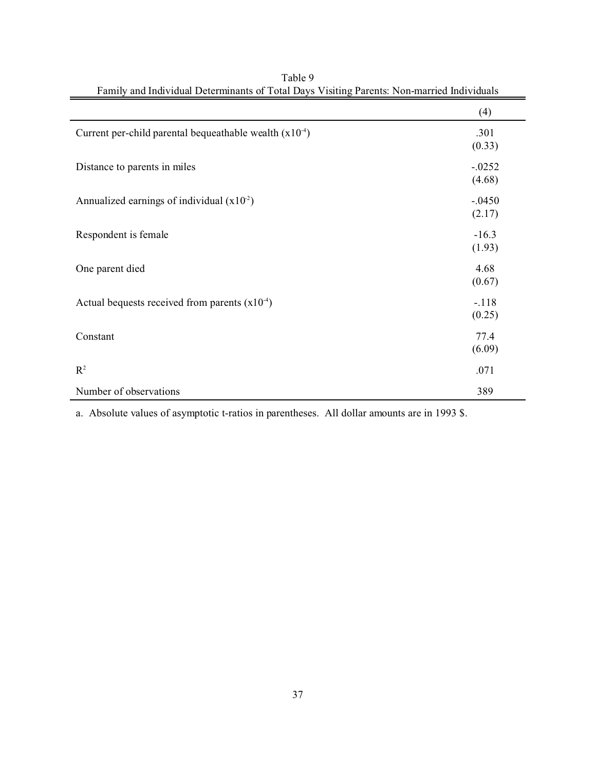|                                                          | (4)                |
|----------------------------------------------------------|--------------------|
| Current per-child parental bequeathable wealth $(x10-4)$ | .301<br>(0.33)     |
| Distance to parents in miles                             | $-.0252$<br>(4.68) |
| Annualized earnings of individual $(x102)$               | $-.0450$<br>(2.17) |
| Respondent is female                                     | $-16.3$<br>(1.93)  |
| One parent died                                          | 4.68<br>(0.67)     |
| Actual bequests received from parents $(x10^{-4})$       | $-.118$<br>(0.25)  |
| Constant                                                 | 77.4<br>(6.09)     |
| $R^2$                                                    | .071               |
| Number of observations                                   | 389                |

Table 9 Family and Individual Determinants of Total Days Visiting Parents: Non-married Individuals

a. Absolute values of asymptotic t-ratios in parentheses. All dollar amounts are in 1993 \$.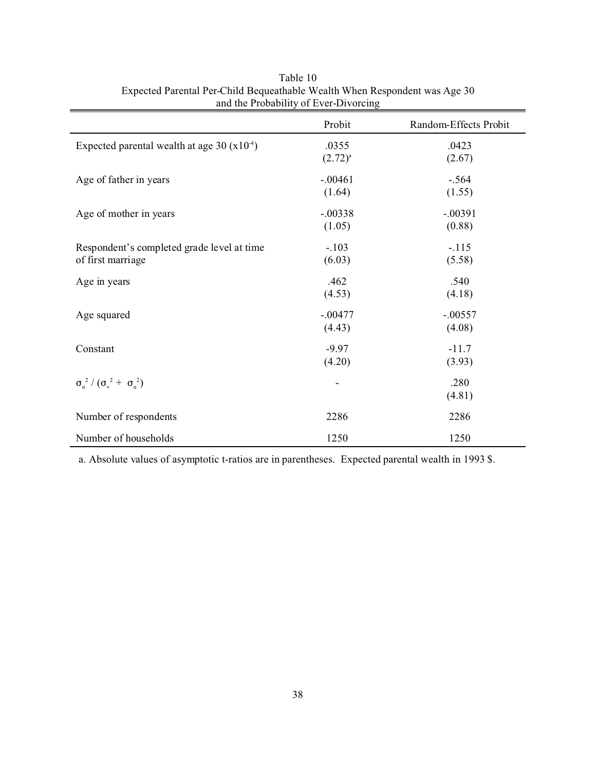|                                                                 | Probit                | Random-Effects Probit |
|-----------------------------------------------------------------|-----------------------|-----------------------|
| Expected parental wealth at age 30 $(x104)$                     | .0355<br>$(2.72)^{a}$ | .0423<br>(2.67)       |
| Age of father in years                                          | $-.00461$<br>(1.64)   | $-.564$<br>(1.55)     |
| Age of mother in years                                          | $-.00338$<br>(1.05)   | $-.00391$<br>(0.88)   |
| Respondent's completed grade level at time<br>of first marriage | $-.103$<br>(6.03)     | $-.115$<br>(5.58)     |
| Age in years                                                    | .462<br>(4.53)        | .540<br>(4.18)        |
| Age squared                                                     | $-.00477$<br>(4.43)   | $-.00557$<br>(4.08)   |
| Constant                                                        | $-9.97$<br>(4.20)     | $-11.7$<br>(3.93)     |
| $\sigma_{\rm u}^{2}/(\sigma_{\rm v}^{2}+\sigma_{\rm u}^{2})$    |                       | .280<br>(4.81)        |
| Number of respondents                                           | 2286                  | 2286                  |
| Number of households                                            | 1250                  | 1250                  |

Table 10 Expected Parental Per-Child Bequeathable Wealth When Respondent was Age 30 and the Probability of Ever-Divorcing

a. Absolute values of asymptotic t-ratios are in parentheses. Expected parental wealth in 1993 \$.